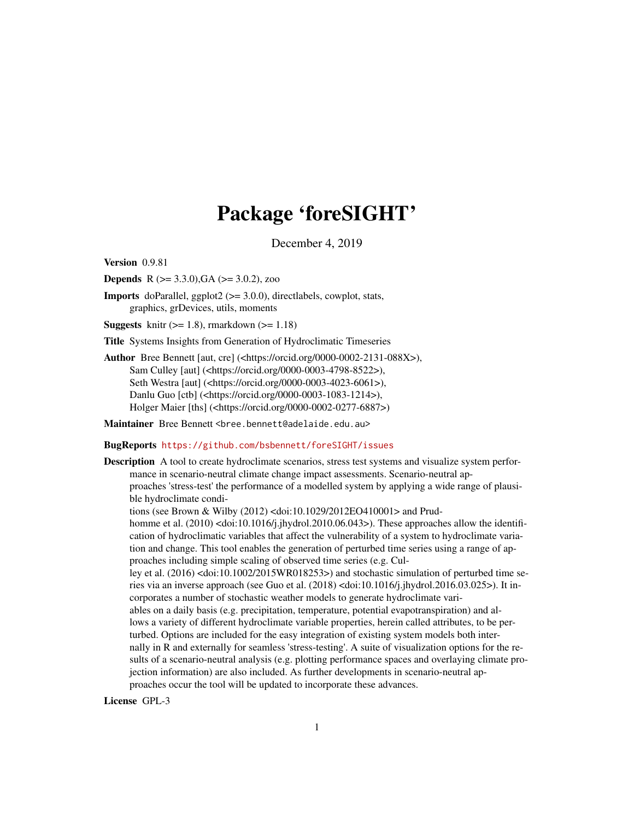# Package 'foreSIGHT'

December 4, 2019

Version 0.9.81

**Depends** R ( $>= 3.3.0$ ), GA ( $>= 3.0.2$ ), zoo

Imports doParallel, ggplot2 (>= 3.0.0), directlabels, cowplot, stats, graphics, grDevices, utils, moments

**Suggests** knitr  $(>= 1.8)$ , rmarkdown  $(>= 1.18)$ 

Title Systems Insights from Generation of Hydroclimatic Timeseries

Author Bree Bennett [aut, cre] (<https://orcid.org/0000-0002-2131-088X>), Sam Culley [aut] (<https://orcid.org/0000-0003-4798-8522>), Seth Westra [aut] (<https://orcid.org/0000-0003-4023-6061>), Danlu Guo [ctb] (<https://orcid.org/0000-0003-1083-1214>), Holger Maier [ths] (<https://orcid.org/0000-0002-0277-6887>)

Maintainer Bree Bennett <bree.bennett@adelaide.edu.au>

BugReports <https://github.com/bsbennett/foreSIGHT/issues>

Description A tool to create hydroclimate scenarios, stress test systems and visualize system performance in scenario-neutral climate change impact assessments. Scenario-neutral approaches 'stress-test' the performance of a modelled system by applying a wide range of plausible hydroclimate conditions (see Brown & Wilby (2012) <doi:10.1029/2012EO410001> and Prudhomme et al. (2010) <doi:10.1016/j.jhydrol.2010.06.043>). These approaches allow the identification of hydroclimatic variables that affect the vulnerability of a system to hydroclimate variation and change. This tool enables the generation of perturbed time series using a range of approaches including simple scaling of observed time series (e.g. Culley et al. (2016) <doi:10.1002/2015WR018253>) and stochastic simulation of perturbed time series via an inverse approach (see Guo et al. (2018) <doi:10.1016/j.jhydrol.2016.03.025>). It incorporates a number of stochastic weather models to generate hydroclimate variables on a daily basis (e.g. precipitation, temperature, potential evapotranspiration) and allows a variety of different hydroclimate variable properties, herein called attributes, to be perturbed. Options are included for the easy integration of existing system models both internally in R and externally for seamless 'stress-testing'. A suite of visualization options for the results of a scenario-neutral analysis (e.g. plotting performance spaces and overlaying climate projection information) are also included. As further developments in scenario-neutral approaches occur the tool will be updated to incorporate these advances. License GPL-3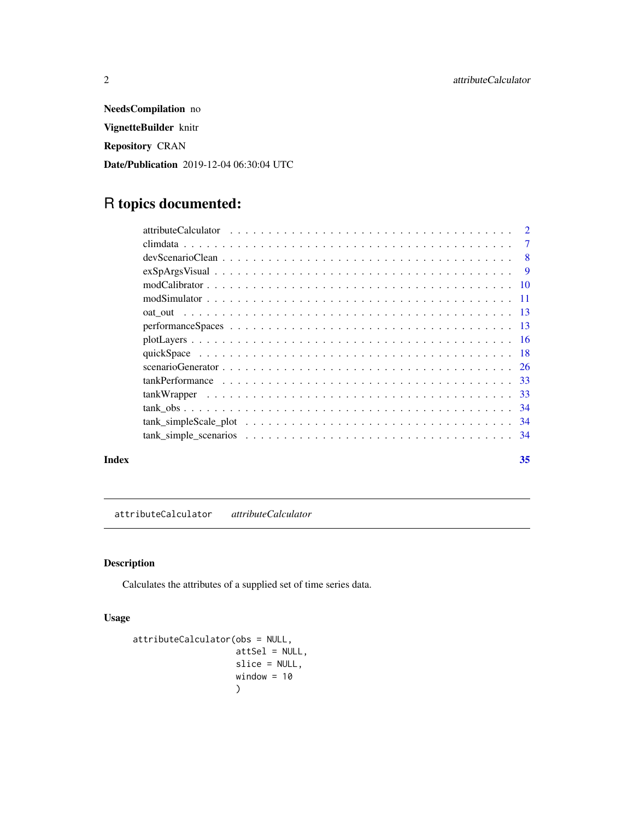<span id="page-1-0"></span>NeedsCompilation no VignetteBuilder knitr Repository CRAN Date/Publication 2019-12-04 06:30:04 UTC

## R topics documented:

| Index |                                                                                                                     | 35             |
|-------|---------------------------------------------------------------------------------------------------------------------|----------------|
|       |                                                                                                                     |                |
|       |                                                                                                                     |                |
|       |                                                                                                                     |                |
|       |                                                                                                                     |                |
|       |                                                                                                                     |                |
|       |                                                                                                                     |                |
|       |                                                                                                                     |                |
|       |                                                                                                                     |                |
|       |                                                                                                                     |                |
|       |                                                                                                                     |                |
|       |                                                                                                                     |                |
|       |                                                                                                                     |                |
|       |                                                                                                                     |                |
|       | $devScenario Clean \dots \dots \dots \dots \dots \dots \dots \dots \dots \dots \dots \dots \dots \dots \dots \dots$ | $\overline{8}$ |
|       |                                                                                                                     | $\overline{7}$ |
|       |                                                                                                                     |                |

attributeCalculator *attributeCalculator*

#### Description

Calculates the attributes of a supplied set of time series data.

#### Usage

```
attributeCalculator(obs = NULL,
                   attSel = NULL,
                    slice = NULL,
                   window = 10)
```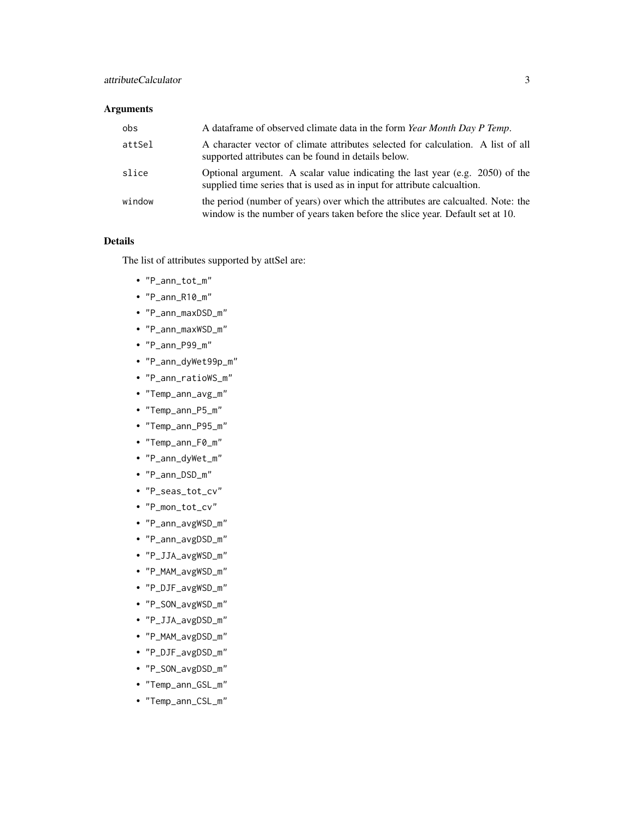#### Arguments

| obs    | A data frame of observed climate data in the form Year Month Day P Temp.                                                                                          |
|--------|-------------------------------------------------------------------------------------------------------------------------------------------------------------------|
| attSel | A character vector of climate attributes selected for calculation. A list of all<br>supported attributes can be found in details below.                           |
| slice  | Optional argument. A scalar value indicating the last year (e.g. 2050) of the<br>supplied time series that is used as in input for attribute calcualtion.         |
| window | the period (number of years) over which the attributes are calcualted. Note: the<br>window is the number of years taken before the slice year. Default set at 10. |

#### Details

The list of attributes supported by attSel are:

- "P\_ann\_tot\_m"
- "P\_ann\_R10\_m"
- "P\_ann\_maxDSD\_m"
- "P\_ann\_maxWSD\_m"
- "P\_ann\_P99\_m"
- "P\_ann\_dyWet99p\_m"
- "P\_ann\_ratioWS\_m"
- "Temp\_ann\_avg\_m"
- "Temp\_ann\_P5\_m"
- "Temp\_ann\_P95\_m"
- "Temp\_ann\_F0\_m"
- "P\_ann\_dyWet\_m"
- "P\_ann\_DSD\_m"
- "P\_seas\_tot\_cv"
- "P\_mon\_tot\_cv"
- "P\_ann\_avgWSD\_m"
- "P\_ann\_avgDSD\_m"
- "P\_JJA\_avgWSD\_m"
- "P\_MAM\_avgWSD\_m"
- "P\_DJF\_avgWSD\_m"
- "P\_SON\_avgWSD\_m"
- "P\_JJA\_avgDSD\_m"
- "P\_MAM\_avgDSD\_m"
- "P\_DJF\_avgDSD\_m"
- "P\_SON\_avgDSD\_m"
- "Temp\_ann\_GSL\_m"
- "Temp\_ann\_CSL\_m"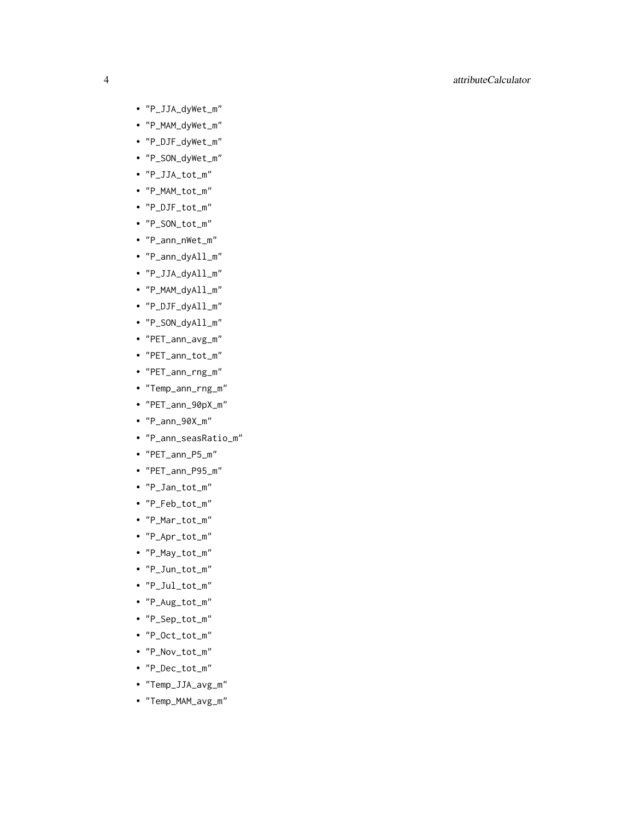- "P\_JJA\_dyWet\_m"
- "P\_MAM\_dyWet\_m"
- "P\_DJF\_dyWet\_m"
- "P\_SON\_dyWet\_m"
- "P\_JJA\_tot\_m"
- "P\_MAM\_tot\_m"
- "P\_DJF\_tot\_m"
- "P\_SON\_tot\_m"
- "P\_ann\_nWet\_m"
- "P\_ann\_dyAll\_m"
- "P\_JJA\_dyAll\_m"
- "P\_MAM\_dyAll\_m"
- "P\_DJF\_dyAll\_m"
- "P\_SON\_dyAll\_m"
- "PET\_ann\_avg\_m"
- "PET\_ann\_tot\_m"
- "PET\_ann\_rng\_m"
- "Temp\_ann\_rng\_m"
- "PET\_ann\_90pX\_m"
- "P\_ann\_90X\_m"
- "P\_ann\_seasRatio\_m"
- "PET\_ann\_P5\_m"
- "PET\_ann\_P95\_m"
- "P\_Jan\_tot\_m"
- "P\_Feb\_tot\_m"
- "P\_Mar\_tot\_m"
- "P\_Apr\_tot\_m"
- "P\_May\_tot\_m"
- "P\_Jun\_tot\_m"
- "P\_Jul\_tot\_m"
- "P\_Aug\_tot\_m"
- "P\_Sep\_tot\_m"
- "P\_Oct\_tot\_m"
- "P\_Nov\_tot\_m"
- "P\_Dec\_tot\_m"
- "Temp\_JJA\_avg\_m"
- "Temp\_MAM\_avg\_m"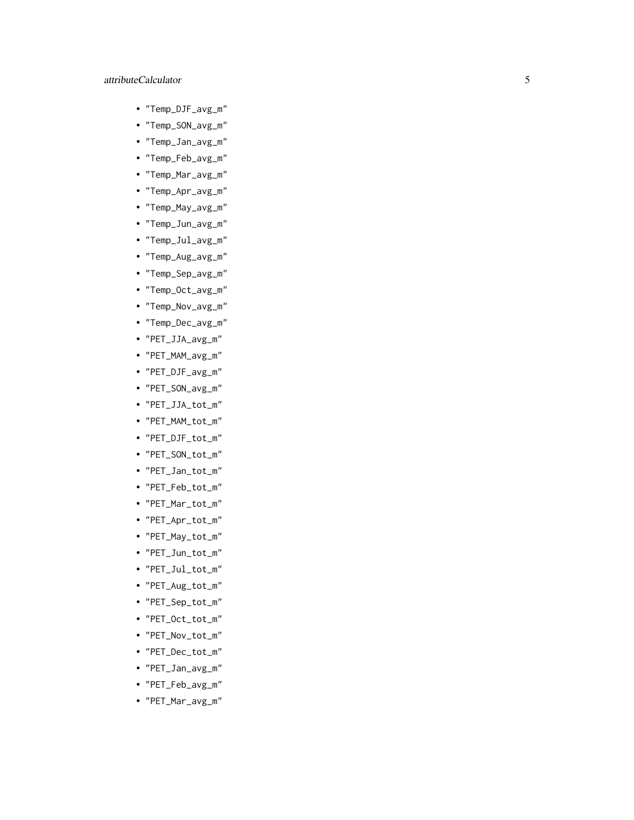- "Temp\_DJF\_avg\_m"
- "Temp\_SON\_avg\_m"
- "Temp\_Jan\_avg\_m"
- "Temp\_Feb\_avg\_m"
- "Temp\_Mar\_avg\_m"
- "Temp\_Apr\_avg\_m"
- "Temp\_May\_avg\_m"
- "Temp\_Jun\_avg\_m"
- "Temp\_Jul\_avg\_m"
- "Temp\_Aug\_avg\_m"
- "Temp\_Sep\_avg\_m"
- "Temp\_Oct\_avg\_m"
- "Temp\_Nov\_avg\_m"
- "Temp\_Dec\_avg\_m"
- "PET\_JJA\_avg\_m"
- "PET\_MAM\_avg\_m"
- "PET\_DJF\_avg\_m"
- "PET\_SON\_avg\_m"
- "PET\_JJA\_tot\_m"
- "PET\_MAM\_tot\_m"
- "PET\_DJF\_tot\_m"
- "PET\_SON\_tot\_m"
- "PET\_Jan\_tot\_m"
- "PET\_Feb\_tot\_m"
- "PET\_Mar\_tot\_m"
- "PET\_Apr\_tot\_m"
- "PET\_May\_tot\_m"
- "PET\_Jun\_tot\_m"
- "PET\_Jul\_tot\_m"
- "PET\_Aug\_tot\_m"
- "PET\_Sep\_tot\_m"
- "PET\_Oct\_tot\_m"
- "PET\_Nov\_tot\_m"
- "PET\_Dec\_tot\_m"
- "PET\_Jan\_avg\_m"
- "PET\_Feb\_avg\_m"
- "PET\_Mar\_avg\_m"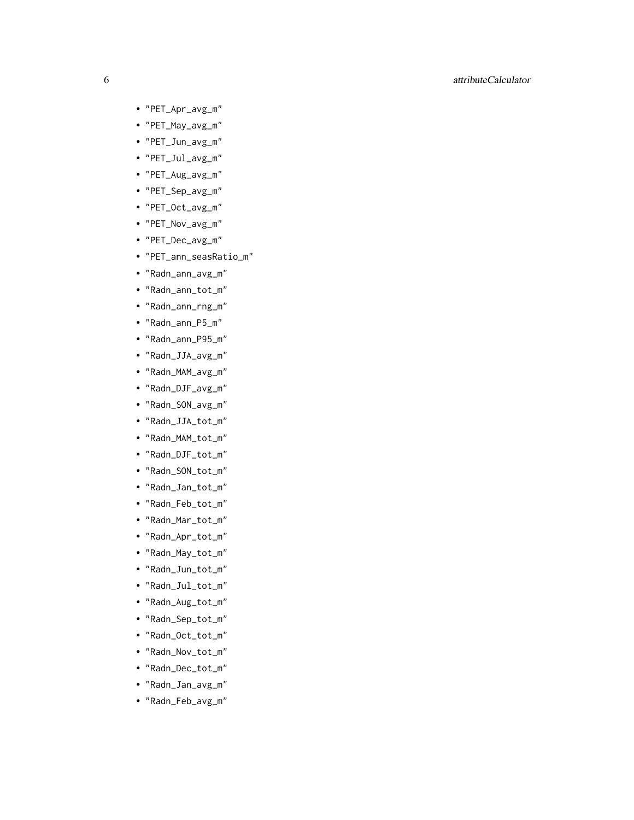- "PET\_Apr\_avg\_m"
- "PET\_May\_avg\_m"
- "PET\_Jun\_avg\_m"
- "PET\_Jul\_avg\_m"
- "PET\_Aug\_avg\_m"
- "PET\_Sep\_avg\_m"
- "PET\_Oct\_avg\_m"
- "PET\_Nov\_avg\_m"
- "PET\_Dec\_avg\_m"
- "PET\_ann\_seasRatio\_m"
- "Radn\_ann\_avg\_m"
- "Radn\_ann\_tot\_m"
- "Radn\_ann\_rng\_m"
- "Radn\_ann\_P5\_m"
- "Radn\_ann\_P95\_m"
- "Radn\_JJA\_avg\_m"
- "Radn\_MAM\_avg\_m"
- "Radn\_DJF\_avg\_m"
- "Radn\_SON\_avg\_m"
- "Radn\_JJA\_tot\_m"
- "Radn\_MAM\_tot\_m"
- "Radn\_DJF\_tot\_m"
- "Radn\_SON\_tot\_m"
- "Radn\_Jan\_tot\_m"
- "Radn\_Feb\_tot\_m"
- "Radn\_Mar\_tot\_m"
- "Radn\_Apr\_tot\_m"
- "Radn\_May\_tot\_m"
- "Radn\_Jun\_tot\_m"
- "Radn\_Jul\_tot\_m"
- "Radn\_Aug\_tot\_m"
- "Radn\_Sep\_tot\_m"
- "Radn\_Oct\_tot\_m"
- "Radn\_Nov\_tot\_m"
- "Radn\_Dec\_tot\_m"
- "Radn\_Jan\_avg\_m"
- "Radn\_Feb\_avg\_m"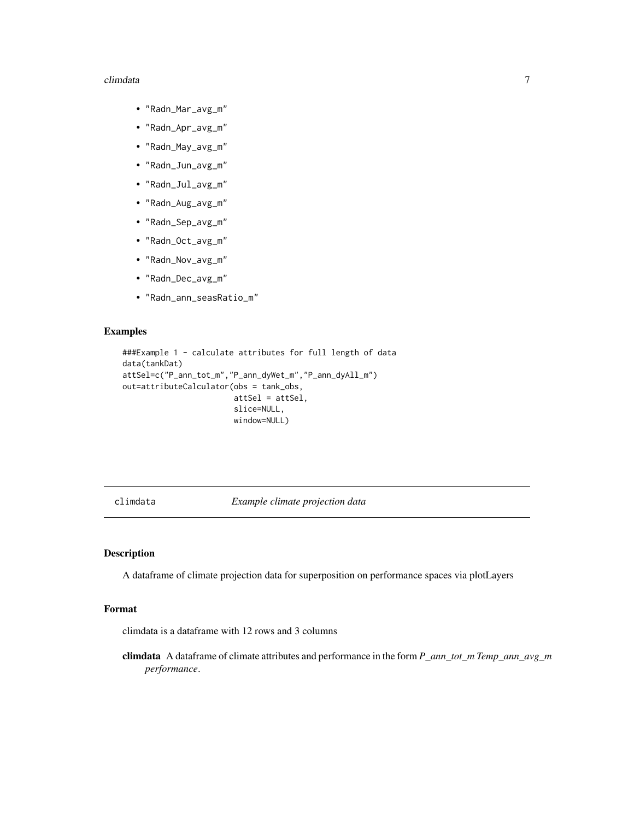#### <span id="page-6-0"></span>climdata **7**

- "Radn\_Mar\_avg\_m"
- "Radn\_Apr\_avg\_m"
- "Radn\_May\_avg\_m"
- "Radn\_Jun\_avg\_m"
- "Radn\_Jul\_avg\_m"
- "Radn\_Aug\_avg\_m"
- "Radn\_Sep\_avg\_m"
- "Radn\_Oct\_avg\_m"
- "Radn\_Nov\_avg\_m"
- "Radn\_Dec\_avg\_m"
- "Radn\_ann\_seasRatio\_m"

#### Examples

```
###Example 1 - calculate attributes for full length of data
data(tankDat)
attSel=c("P_ann_tot_m","P_ann_dyWet_m","P_ann_dyAll_m")
out=attributeCalculator(obs = tank_obs,
                        attSel = attSel,
                        slice=NULL,
                        window=NULL)
```
climdata *Example climate projection data*

#### Description

A dataframe of climate projection data for superposition on performance spaces via plotLayers

#### Format

climdata is a dataframe with 12 rows and 3 columns

climdata A dataframe of climate attributes and performance in the form *P\_ann\_tot\_m Temp\_ann\_avg\_m performance*.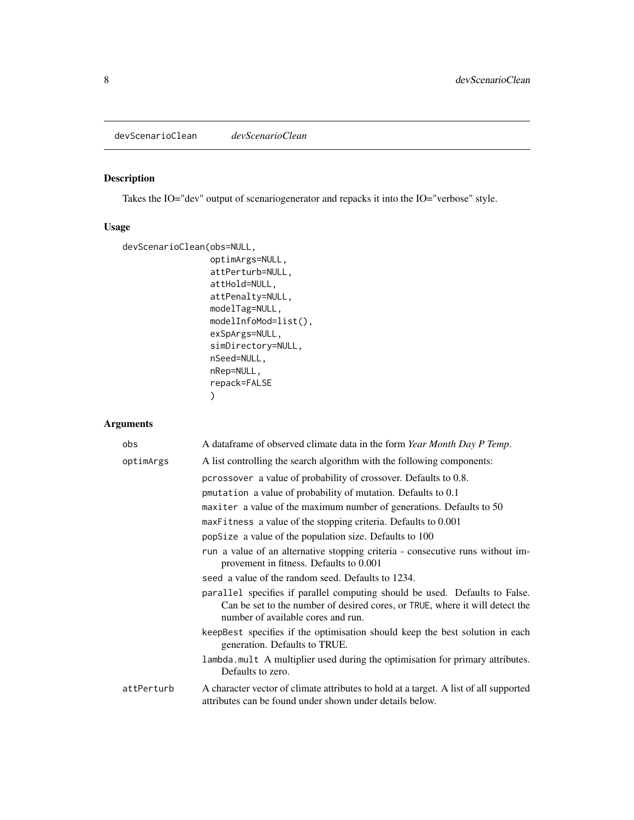<span id="page-7-0"></span>devScenarioClean *devScenarioClean*

#### Description

Takes the IO="dev" output of scenariogenerator and repacks it into the IO="verbose" style.

#### Usage

```
devScenarioClean(obs=NULL,
                 optimArgs=NULL,
                 attPerturb=NULL,
                 attHold=NULL,
                 attPenalty=NULL,
                 modelTag=NULL,
                 modelInfoMod=list(),
                 exSpArgs=NULL,
                 simDirectory=NULL,
                 nSeed=NULL,
                 nRep=NULL,
                 repack=FALSE
                 )
```
#### Arguments

| obs        | A dataframe of observed climate data in the form Year Month Day P Temp.                                                                                                                           |
|------------|---------------------------------------------------------------------------------------------------------------------------------------------------------------------------------------------------|
| optimArgs  | A list controlling the search algorithm with the following components:                                                                                                                            |
|            | pcrossover a value of probability of crossover. Defaults to 0.8.                                                                                                                                  |
|            | pmutation a value of probability of mutation. Defaults to 0.1                                                                                                                                     |
|            | maxiter a value of the maximum number of generations. Defaults to 50                                                                                                                              |
|            | maxFitness a value of the stopping criteria. Defaults to 0.001                                                                                                                                    |
|            | popSize a value of the population size. Defaults to 100                                                                                                                                           |
|            | run a value of an alternative stopping criteria - consecutive runs without im-<br>provement in fitness. Defaults to 0.001                                                                         |
|            | seed a value of the random seed. Defaults to 1234.                                                                                                                                                |
|            | parallel specifies if parallel computing should be used. Defaults to False.<br>Can be set to the number of desired cores, or TRUE, where it will detect the<br>number of available cores and run. |
|            | keepBest specifies if the optimisation should keep the best solution in each<br>generation. Defaults to TRUE.                                                                                     |
|            | lambda mult A multiplier used during the optimisation for primary attributes.<br>Defaults to zero.                                                                                                |
| attPerturb | A character vector of climate attributes to hold at a target. A list of all supported<br>attributes can be found under shown under details below.                                                 |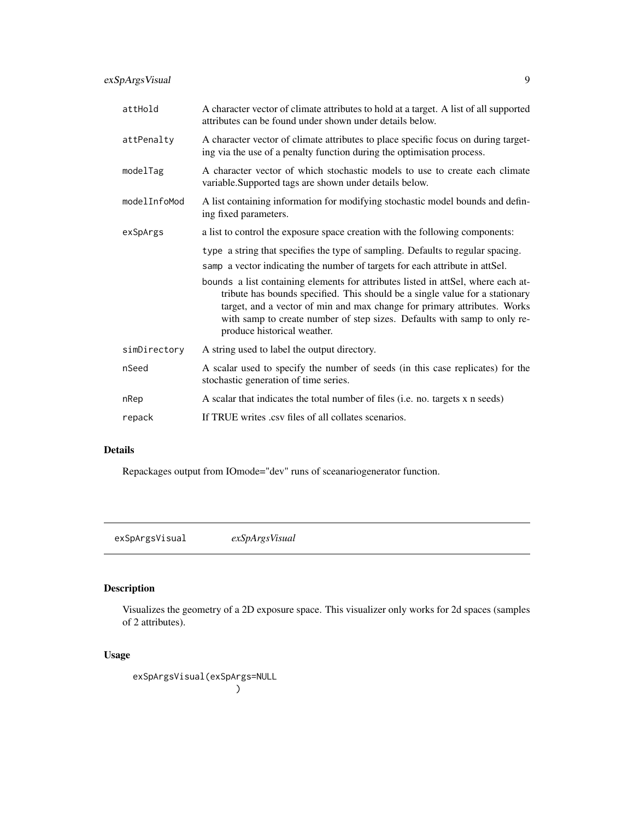<span id="page-8-0"></span>exSpArgsVisual 9

| attHold      | A character vector of climate attributes to hold at a target. A list of all supported<br>attributes can be found under shown under details below.                                                                                                                                                                                                        |
|--------------|----------------------------------------------------------------------------------------------------------------------------------------------------------------------------------------------------------------------------------------------------------------------------------------------------------------------------------------------------------|
| attPenalty   | A character vector of climate attributes to place specific focus on during target-<br>ing via the use of a penalty function during the optimisation process.                                                                                                                                                                                             |
| modelTag     | A character vector of which stochastic models to use to create each climate<br>variable. Supported tags are shown under details below.                                                                                                                                                                                                                   |
| modelInfoMod | A list containing information for modifying stochastic model bounds and defin-<br>ing fixed parameters.                                                                                                                                                                                                                                                  |
| exSpArgs     | a list to control the exposure space creation with the following components:                                                                                                                                                                                                                                                                             |
|              | type a string that specifies the type of sampling. Defaults to regular spacing.                                                                                                                                                                                                                                                                          |
|              | samp a vector indicating the number of targets for each attribute in attSel.                                                                                                                                                                                                                                                                             |
|              | bounds a list containing elements for attributes listed in attSel, where each at-<br>tribute has bounds specified. This should be a single value for a stationary<br>target, and a vector of min and max change for primary attributes. Works<br>with samp to create number of step sizes. Defaults with samp to only re-<br>produce historical weather. |
| simDirectory | A string used to label the output directory.                                                                                                                                                                                                                                                                                                             |
| nSeed        | A scalar used to specify the number of seeds (in this case replicates) for the<br>stochastic generation of time series.                                                                                                                                                                                                                                  |
| nRep         | A scalar that indicates the total number of files (i.e. no. targets x n seeds)                                                                                                                                                                                                                                                                           |
| repack       | If TRUE writes .csv files of all collates scenarios.                                                                                                                                                                                                                                                                                                     |

#### Details

Repackages output from IOmode="dev" runs of sceanariogenerator function.

exSpArgsVisual *exSpArgsVisual*

#### Description

Visualizes the geometry of a 2D exposure space. This visualizer only works for 2d spaces (samples of 2 attributes).

#### Usage

exSpArgsVisual(exSpArgs=NULL )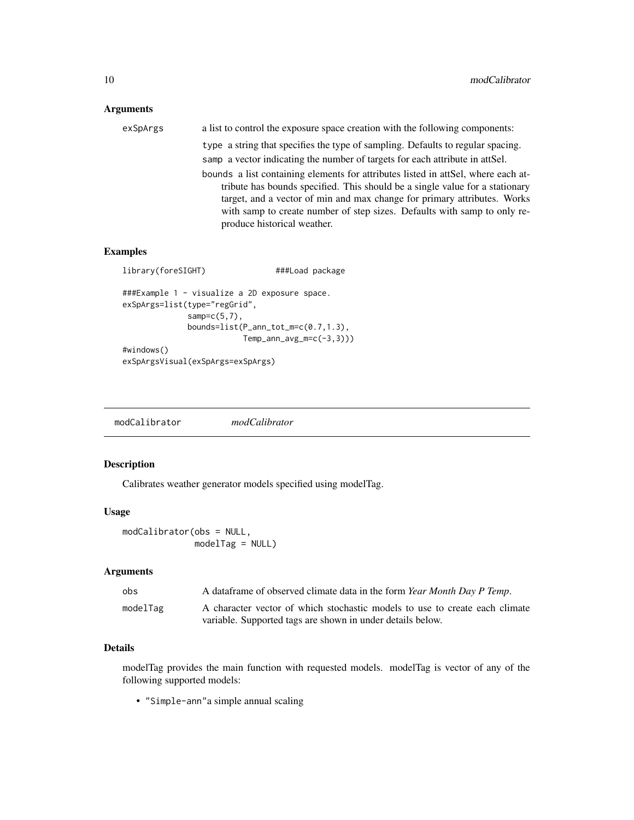#### <span id="page-9-0"></span>Arguments

| exSpArgs | a list to control the exposure space creation with the following components:      |
|----------|-----------------------------------------------------------------------------------|
|          | type a string that specifies the type of sampling. Defaults to regular spacing.   |
|          | samp a vector indicating the number of targets for each attribute in attSel.      |
|          | bounds a list containing elements for attributes listed in attSel, where each at- |
|          | tribute has bounds specified. This should be a single value for a stationary      |
|          | target, and a vector of min and max change for primary attributes. Works          |
|          | with samp to create number of step sizes. Defaults with samp to only re-          |
|          | produce historical weather.                                                       |

#### Examples

```
library(foreSIGHT) ###Load package
###Example 1 - visualize a 2D exposure space.
exSpArgs=list(type="regGrid",
             samp=c(5,7),
             bounds=list(P_ann_tot_m=c(0.7,1.3),
                        Temp_ann_avg_m=c(-3,3)))
#windows()
exSpArgsVisual(exSpArgs=exSpArgs)
```
modCalibrator *modCalibrator*

#### Description

Calibrates weather generator models specified using modelTag.

#### Usage

```
modCalibrator(obs = NULL,
             modelTag = NULL)
```
#### Arguments

| obs      | A dataframe of observed climate data in the form <i>Year Month Day P Temp.</i> |
|----------|--------------------------------------------------------------------------------|
| modelTag | A character vector of which stochastic models to use to create each climate    |
|          | variable. Supported tags are shown in under details below.                     |

#### Details

modelTag provides the main function with requested models. modelTag is vector of any of the following supported models:

• "Simple-ann"a simple annual scaling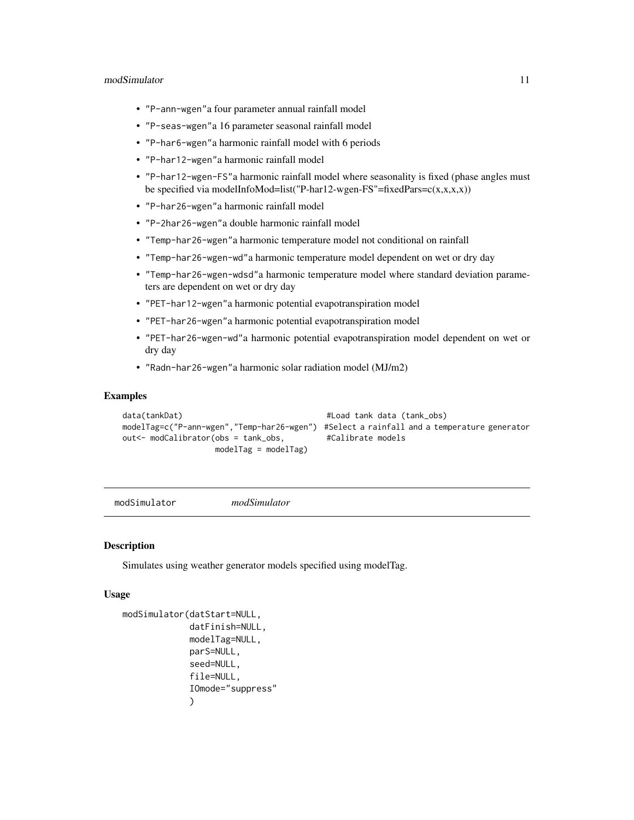#### <span id="page-10-0"></span>modSimulator 11

- "P-ann-wgen"a four parameter annual rainfall model
- "P-seas-wgen"a 16 parameter seasonal rainfall model
- "P-har6-wgen"a harmonic rainfall model with 6 periods
- "P-har12-wgen"a harmonic rainfall model
- "P-har12-wgen-FS"a harmonic rainfall model where seasonality is fixed (phase angles must be specified via modelInfoMod=list("P-har12-wgen-FS"=fixedPars= $c(x,x,x,x)$ )
- "P-har26-wgen"a harmonic rainfall model
- "P-2har26-wgen"a double harmonic rainfall model
- "Temp-har26-wgen"a harmonic temperature model not conditional on rainfall
- "Temp-har26-wgen-wd"a harmonic temperature model dependent on wet or dry day
- "Temp-har26-wgen-wdsd"a harmonic temperature model where standard deviation parameters are dependent on wet or dry day
- "PET-har12-wgen"a harmonic potential evapotranspiration model
- "PET-har26-wgen"a harmonic potential evapotranspiration model
- "PET-har26-wgen-wd"a harmonic potential evapotranspiration model dependent on wet or dry day
- "Radn-har26-wgen"a harmonic solar radiation model (MJ/m2)

#### Examples

```
data(tankDat) #Load tank data (tank\_obs)modelTag=c("P-ann-wgen","Temp-har26-wgen") #Select a rainfall and a temperature generator
out<- modCalibrator(obs = tank_obs, #Calibrate models
                modelTag = modelTag)
```
modSimulator *modSimulator*

#### **Description**

Simulates using weather generator models specified using modelTag.

#### Usage

```
modSimulator(datStart=NULL,
             datFinish=NULL,
             modelTag=NULL,
             parS=NULL,
             seed=NULL,
             file=NULL,
             IOmode="suppress"
             )
```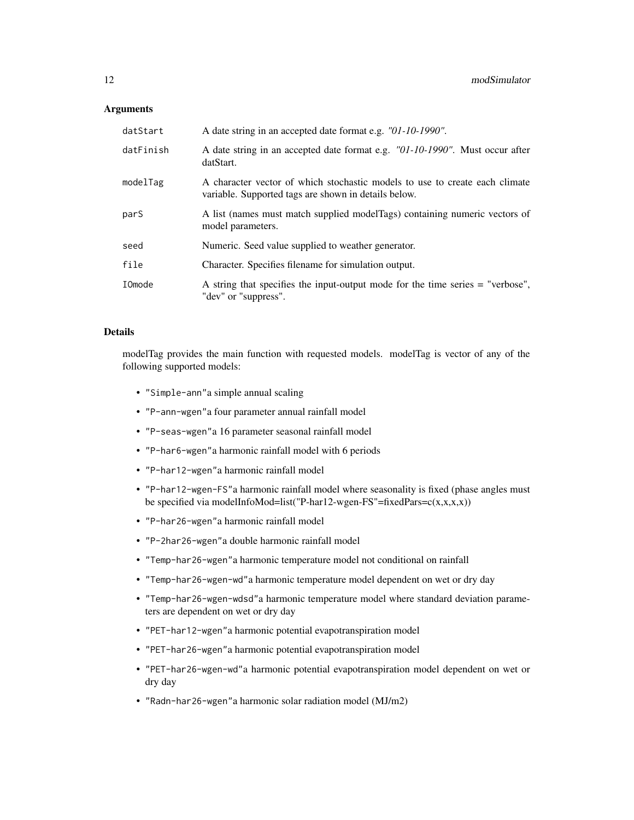#### **Arguments**

| datStart  | A date string in an accepted date format e.g. "01-10-1990".                                                                         |
|-----------|-------------------------------------------------------------------------------------------------------------------------------------|
| datFinish | A date string in an accepted date format e.g. "01-10-1990". Must occur after<br>datStart.                                           |
| modelTag  | A character vector of which stochastic models to use to create each climate<br>variable. Supported tags are shown in details below. |
| pars      | A list (names must match supplied modelTags) containing numeric vectors of<br>model parameters.                                     |
| seed      | Numeric. Seed value supplied to weather generator.                                                                                  |
| file      | Character. Specifies filename for simulation output.                                                                                |
| IOmode    | A string that specifies the input-output mode for the time series = "verbose",<br>"dev" or "suppress".                              |

#### Details

modelTag provides the main function with requested models. modelTag is vector of any of the following supported models:

- "Simple-ann"a simple annual scaling
- "P-ann-wgen"a four parameter annual rainfall model
- "P-seas-wgen"a 16 parameter seasonal rainfall model
- "P-har6-wgen"a harmonic rainfall model with 6 periods
- "P-har12-wgen"a harmonic rainfall model
- "P-har12-wgen-FS"a harmonic rainfall model where seasonality is fixed (phase angles must be specified via modelInfoMod=list("P-har12-wgen-FS"=fixedPars= $c(x,x,x,x)$ )
- "P-har26-wgen"a harmonic rainfall model
- "P-2har26-wgen"a double harmonic rainfall model
- "Temp-har26-wgen"a harmonic temperature model not conditional on rainfall
- "Temp-har26-wgen-wd"a harmonic temperature model dependent on wet or dry day
- "Temp-har26-wgen-wdsd"a harmonic temperature model where standard deviation parameters are dependent on wet or dry day
- "PET-har12-wgen"a harmonic potential evapotranspiration model
- "PET-har26-wgen"a harmonic potential evapotranspiration model
- "PET-har26-wgen-wd"a harmonic potential evapotranspiration model dependent on wet or dry day
- "Radn-har26-wgen"a harmonic solar radiation model (MJ/m2)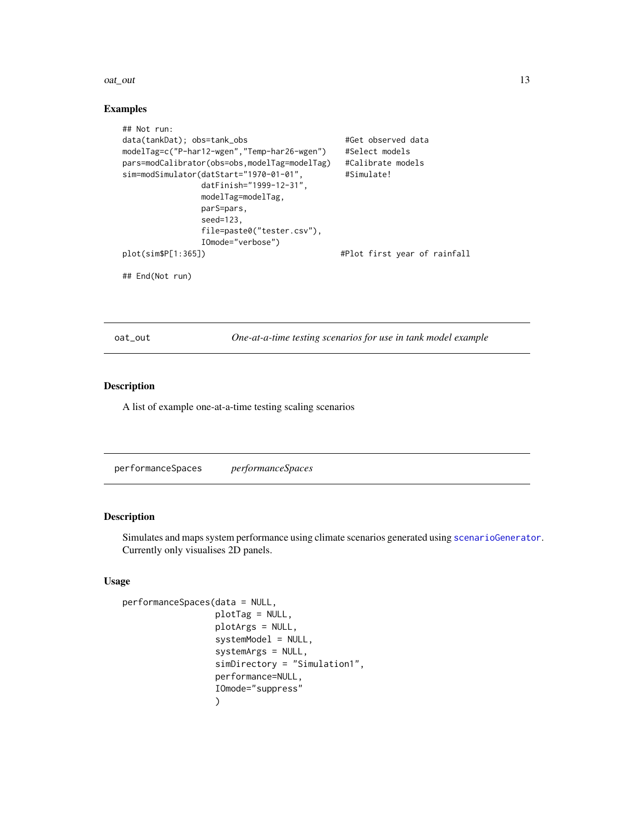#### <span id="page-12-0"></span>oat\_out 13

#### Examples

```
## Not run:
data(tankDat); obs=tank_obs #Get observed data
modelTag=c("P-har12-wgen","Temp-har26-wgen") #Select models
pars=modCalibrator(obs=obs,modelTag=modelTag) #Calibrate models
sim=modSimulator(datStart="1970-01-01", #Simulate!
               datFinish="1999-12-31",
               modelTag=modelTag,
               parS=pars,
               seed=123,
               file=paste0("tester.csv"),
               IOmode="verbose")
plot(sim$P[1:365]) \qquad \qquad \qquad #Plot first year of rainfall
## End(Not run)
```
oat\_out *One-at-a-time testing scenarios for use in tank model example*

#### Description

A list of example one-at-a-time testing scaling scenarios

<span id="page-12-1"></span>performanceSpaces *performanceSpaces*

#### Description

Simulates and maps system performance using climate scenarios generated using [scenarioGenerator](#page-25-1). Currently only visualises 2D panels.

#### Usage

```
performanceSpaces(data = NULL,
                  plotTag = NULL,
                  plotArgs = NULL,
                  systemModel = NULL,
                  systemArgs = NULL,
                  simDirectory = "Simulation1",
                  performance=NULL,
                  IOmode="suppress"
                  )
```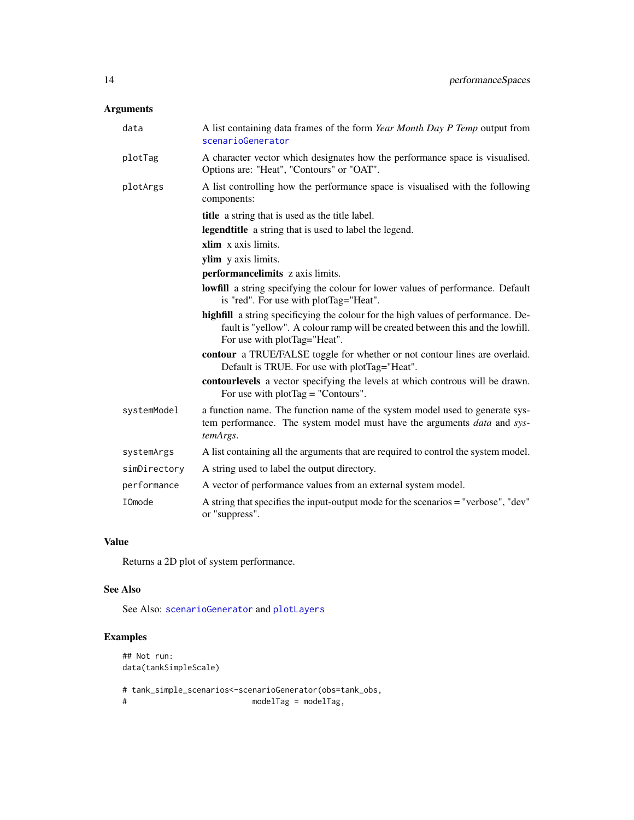#### <span id="page-13-0"></span>Arguments

| data          | A list containing data frames of the form Year Month Day P Temp output from<br>scenarioGenerator                                                                                                    |
|---------------|-----------------------------------------------------------------------------------------------------------------------------------------------------------------------------------------------------|
| plotTag       | A character vector which designates how the performance space is visualised.<br>Options are: "Heat", "Contours" or "OAT".                                                                           |
| plotArgs      | A list controlling how the performance space is visualised with the following<br>components:                                                                                                        |
|               | title a string that is used as the title label.                                                                                                                                                     |
|               | legendtitle a string that is used to label the legend.                                                                                                                                              |
|               | xlim x axis limits.                                                                                                                                                                                 |
|               | ylim y axis limits.                                                                                                                                                                                 |
|               | performancelimits z axis limits.                                                                                                                                                                    |
|               | <b>lowfill</b> a string specifying the colour for lower values of performance. Default<br>is "red". For use with plotTag="Heat".                                                                    |
|               | highfill a string specificying the colour for the high values of performance. De-<br>fault is "yellow". A colour ramp will be created between this and the lowfill.<br>For use with plotTag="Heat". |
|               | contour a TRUE/FALSE toggle for whether or not contour lines are overlaid.<br>Default is TRUE. For use with plotTag="Heat".                                                                         |
|               | contourlevels a vector specifying the levels at which controus will be drawn.<br>For use with $plotTag = "Contours".$                                                                               |
| systemModel   | a function name. The function name of the system model used to generate sys-<br>tem performance. The system model must have the arguments <i>data</i> and sys-<br>temArgs.                          |
| systemArgs    | A list containing all the arguments that are required to control the system model.                                                                                                                  |
| simDirectory  | A string used to label the output directory.                                                                                                                                                        |
| performance   | A vector of performance values from an external system model.                                                                                                                                       |
| <b>IOmode</b> | A string that specifies the input-output mode for the scenarios = "verbose", "dev"<br>or "suppress".                                                                                                |

#### Value

Returns a 2D plot of system performance.

#### See Also

See Also: [scenarioGenerator](#page-25-1) and [plotLayers](#page-15-1)

#### Examples

```
## Not run:
data(tankSimpleScale)
# tank_simple_scenarios<-scenarioGenerator(obs=tank_obs,
                        modelTag = modelTag,
```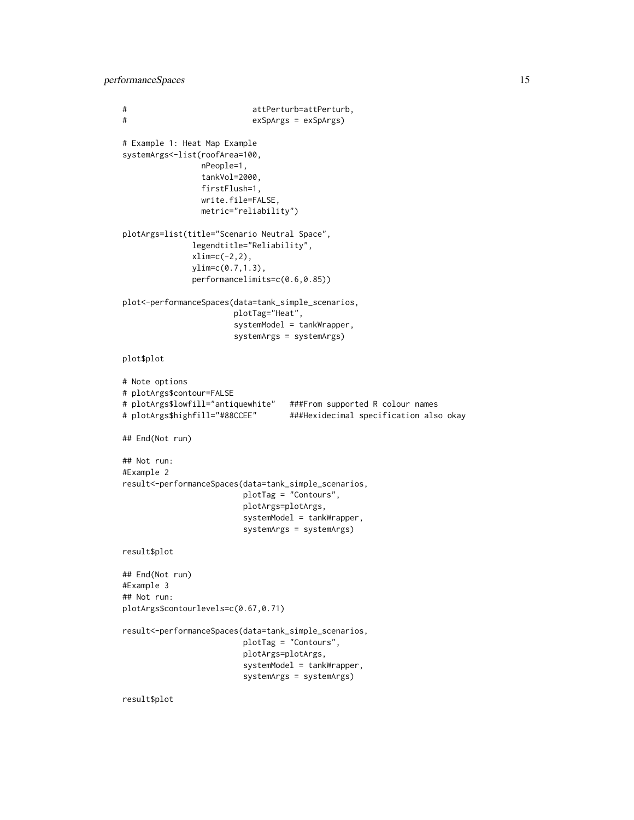performanceSpaces 15

```
# attPerturb=attPerturb,
# exSpArgs = exSpArgs)
# Example 1: Heat Map Example
systemArgs<-list(roofArea=100,
                nPeople=1,
                tankVol=2000,
                firstFlush=1,
                write.file=FALSE,
                metric="reliability")
plotArgs=list(title="Scenario Neutral Space",
              legendtitle="Reliability",
              xlim=c(-2,2),
              ylim=c(0.7,1.3),
              performancelimits=c(0.6,0.85))
plot<-performanceSpaces(data=tank_simple_scenarios,
                      plotTag="Heat",
                       systemModel = tankWrapper,
                       systemArgs = systemArgs)
plot$plot
# Note options
# plotArgs$contour=FALSE
# plotArgs$lowfill="antiquewhite" ###From supported R colour names
# plotArgs$highfill="#88CCEE" ###Hexidecimal specification also okay
## End(Not run)
## Not run:
#Example 2
result<-performanceSpaces(data=tank_simple_scenarios,
                        plotTag = "Contours",
                        plotArgs=plotArgs,
                         systemModel = tankWrapper,
                         systemArgs = systemArgs)
result$plot
## End(Not run)
#Example 3
## Not run:
plotArgs$contourlevels=c(0.67,0.71)
result<-performanceSpaces(data=tank_simple_scenarios,
                        plotTag = "Contours",
                         plotArgs=plotArgs,
                         systemModel = tankWrapper,
                         systemArgs = systemArgs)
```
result\$plot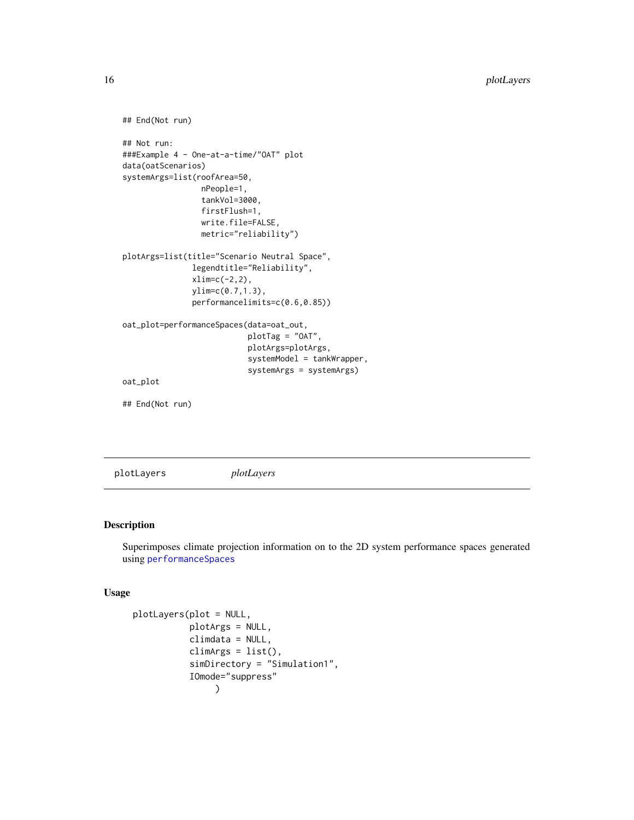```
## End(Not run)
## Not run:
###Example 4 - One-at-a-time/"OAT" plot
data(oatScenarios)
systemArgs=list(roofArea=50,
                 nPeople=1,
                 tankVol=3000,
                 firstFlush=1,
                 write.file=FALSE,
                 metric="reliability")
plotArgs=list(title="Scenario Neutral Space",
               legendtitle="Reliability",
               xlim=c(-2,2),
               ylim=c(0.7,1.3),
               performancelimits=c(0.6,0.85))
oat_plot=performanceSpaces(data=oat_out,
                           plotTag = "OAT",
                           plotArgs=plotArgs,
                           systemModel = tankWrapper,
                           systemArgs = systemArgs)
oat_plot
## End(Not run)
```
<span id="page-15-1"></span>plotLayers *plotLayers*

#### Description

Superimposes climate projection information on to the 2D system performance spaces generated using [performanceSpaces](#page-12-1)

#### Usage

```
plotLayers(plot = NULL,
           plotArgs = NULL,
           climdata = NULL,
           climArgs = list(),
           simDirectory = "Simulation1",
           IOmode="suppress"
                )
```
<span id="page-15-0"></span>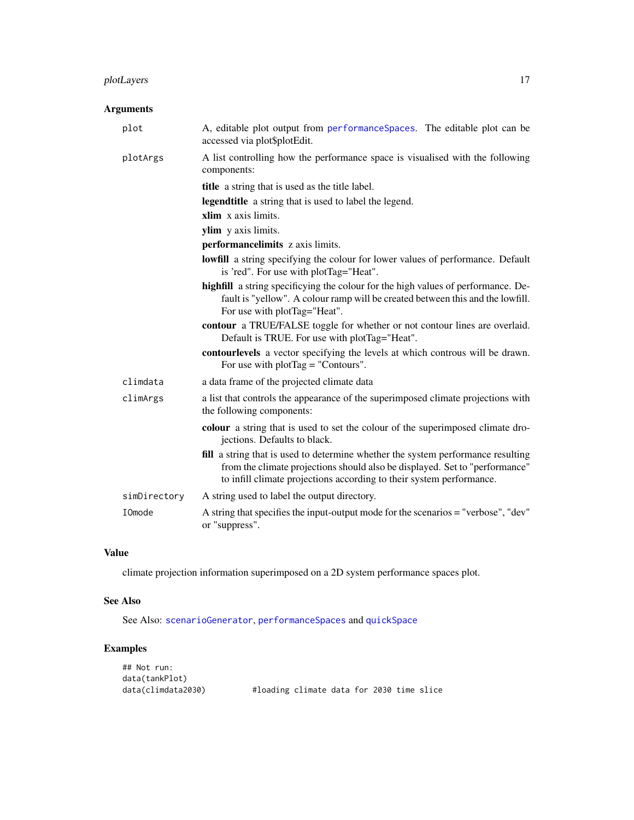#### <span id="page-16-0"></span>plotLayers 17

#### Arguments

| plot         | A, editable plot output from performanceSpaces. The editable plot can be<br>accessed via plot\$plotEdit.                                                                                                                                |
|--------------|-----------------------------------------------------------------------------------------------------------------------------------------------------------------------------------------------------------------------------------------|
| plotArgs     | A list controlling how the performance space is visualised with the following<br>components:                                                                                                                                            |
|              | <b>title</b> a string that is used as the title label.                                                                                                                                                                                  |
|              | <b>legendtitle</b> a string that is used to label the legend.                                                                                                                                                                           |
|              | xlim x axis limits.                                                                                                                                                                                                                     |
|              | ylim y axis limits.                                                                                                                                                                                                                     |
|              | performancelimits z axis limits.                                                                                                                                                                                                        |
|              | <b>lowfill</b> a string specifying the colour for lower values of performance. Default<br>is 'red". For use with plotTag="Heat".                                                                                                        |
|              | highfill a string specificying the colour for the high values of performance. De-<br>fault is "yellow". A colour ramp will be created between this and the lowfill.<br>For use with plotTag="Heat".                                     |
|              | contour a TRUE/FALSE toggle for whether or not contour lines are overlaid.<br>Default is TRUE. For use with plotTag="Heat".                                                                                                             |
|              | contourlevels a vector specifying the levels at which controus will be drawn.<br>For use with $plotTag = "Contours".$                                                                                                                   |
| climdata     | a data frame of the projected climate data                                                                                                                                                                                              |
| climArgs     | a list that controls the appearance of the superimposed climate projections with<br>the following components:                                                                                                                           |
|              | colour a string that is used to set the colour of the superimposed climate dro-<br>jections. Defaults to black.                                                                                                                         |
|              | fill a string that is used to determine whether the system performance resulting<br>from the climate projections should also be displayed. Set to "performance"<br>to infill climate projections according to their system performance. |
| simDirectory | A string used to label the output directory.                                                                                                                                                                                            |
| IOmode       | A string that specifies the input-output mode for the scenarios = "verbose", "dev"<br>or "suppress".                                                                                                                                    |

#### Value

climate projection information superimposed on a 2D system performance spaces plot.

#### See Also

See Also: [scenarioGenerator](#page-25-1), [performanceSpaces](#page-12-1) and [quickSpace](#page-17-1)

### Examples

| ## Not run:        |                                           |  |  |  |
|--------------------|-------------------------------------------|--|--|--|
| data(tankPlot)     |                                           |  |  |  |
| data(climdata2030) | #loading climate data for 2030 time slice |  |  |  |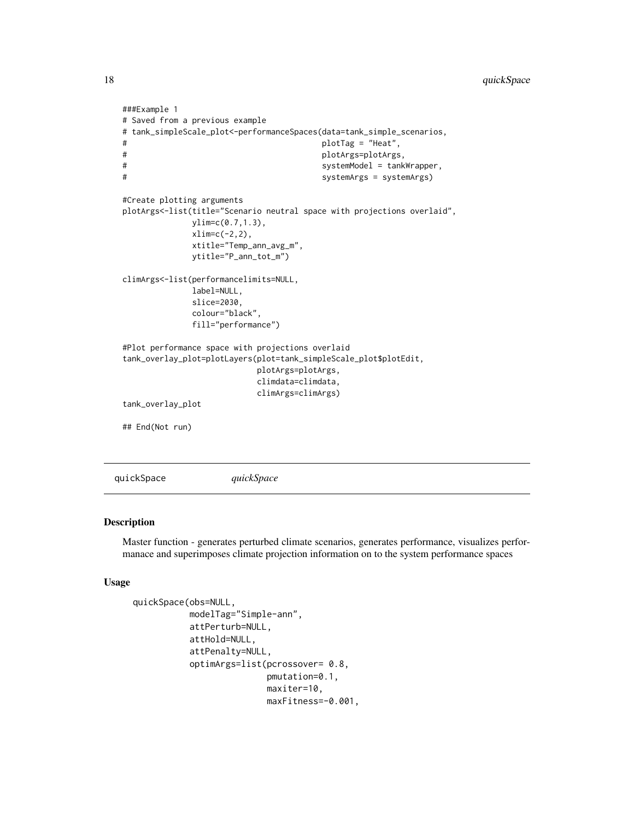```
###Example 1
# Saved from a previous example
# tank_simpleScale_plot<-performanceSpaces(data=tank_simple_scenarios,
# plotTag = "Heat",
# plotArgs=plotArgs,
# systemModel = tankWrapper,
# systemArgs = systemArgs)
#Create plotting arguments
plotArgs<-list(title="Scenario neutral space with projections overlaid",
            ylim=c(0.7,1.3),
            xlim=c(-2,2),
            xtitle="Temp_ann_avg_m",
            ytitle="P_ann_tot_m")
climArgs<-list(performancelimits=NULL,
            label=NULL,
            slice=2030,
            colour="black",
            fill="performance")
#Plot performance space with projections overlaid
tank_overlay_plot=plotLayers(plot=tank_simpleScale_plot$plotEdit,
                       plotArgs=plotArgs,
                       climdata=climdata,
                       climArgs=climArgs)
tank_overlay_plot
## End(Not run)
```
<span id="page-17-1"></span>quickSpace *quickSpace*

#### Description

Master function - generates perturbed climate scenarios, generates performance, visualizes performanace and superimposes climate projection information on to the system performance spaces

#### Usage

```
quickSpace(obs=NULL,
           modelTag="Simple-ann",
           attPerturb=NULL,
           attHold=NULL,
           attPenalty=NULL,
           optimArgs=list(pcrossover= 0.8,
                          pmutation=0.1,
                          maxiter=10,
                          maxFitness=-0.001,
```
<span id="page-17-0"></span>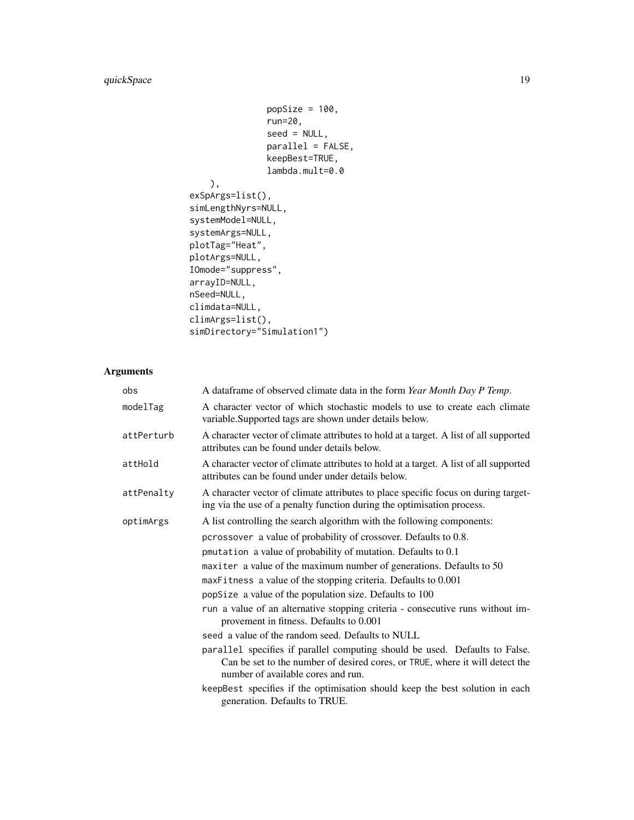```
popSize = 100,run=20,
               seed = NULL,parallel = FALSE,
               keepBest=TRUE,
               lambda.mult=0.0
    ),
exSpArgs=list(),
simLengthNyrs=NULL,
systemModel=NULL,
systemArgs=NULL,
plotTag="Heat",
plotArgs=NULL,
IOmode="suppress",
arrayID=NULL,
nSeed=NULL,
climdata=NULL,
climArgs=list(),
simDirectory="Simulation1")
```
#### Arguments

| obs        | A dataframe of observed climate data in the form Year Month Day P Temp.                                                                                                                           |
|------------|---------------------------------------------------------------------------------------------------------------------------------------------------------------------------------------------------|
| modelTag   | A character vector of which stochastic models to use to create each climate<br>variable. Supported tags are shown under details below.                                                            |
| attPerturb | A character vector of climate attributes to hold at a target. A list of all supported<br>attributes can be found under details below.                                                             |
| attHold    | A character vector of climate attributes to hold at a target. A list of all supported<br>attributes can be found under under details below.                                                       |
| attPenalty | A character vector of climate attributes to place specific focus on during target-<br>ing via the use of a penalty function during the optimisation process.                                      |
| optimArgs  | A list controlling the search algorithm with the following components:                                                                                                                            |
|            | pcrossover a value of probability of crossover. Defaults to 0.8.                                                                                                                                  |
|            | pmutation a value of probability of mutation. Defaults to 0.1                                                                                                                                     |
|            | maxiter a value of the maximum number of generations. Defaults to 50                                                                                                                              |
|            | maxFitness a value of the stopping criteria. Defaults to 0.001                                                                                                                                    |
|            | popSize a value of the population size. Defaults to 100                                                                                                                                           |
|            | run a value of an alternative stopping criteria - consecutive runs without im-<br>provement in fitness. Defaults to 0.001                                                                         |
|            | seed a value of the random seed. Defaults to NULL                                                                                                                                                 |
|            | parallel specifies if parallel computing should be used. Defaults to False.<br>Can be set to the number of desired cores, or TRUE, where it will detect the<br>number of available cores and run. |
|            | keepBest specifies if the optimisation should keep the best solution in each<br>generation. Defaults to TRUE.                                                                                     |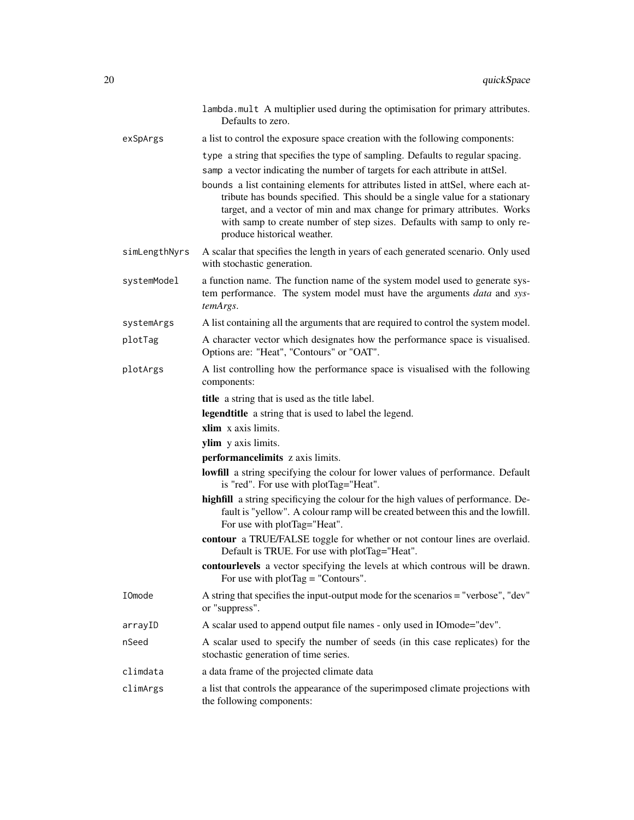|               | lambda.mult A multiplier used during the optimisation for primary attributes.<br>Defaults to zero.                                                                                                                                                                                                                                                                                                                                                                                                                          |
|---------------|-----------------------------------------------------------------------------------------------------------------------------------------------------------------------------------------------------------------------------------------------------------------------------------------------------------------------------------------------------------------------------------------------------------------------------------------------------------------------------------------------------------------------------|
| exSpArgs      | a list to control the exposure space creation with the following components:                                                                                                                                                                                                                                                                                                                                                                                                                                                |
|               | type a string that specifies the type of sampling. Defaults to regular spacing.<br>samp a vector indicating the number of targets for each attribute in attSel.<br>bounds a list containing elements for attributes listed in attSel, where each at-<br>tribute has bounds specified. This should be a single value for a stationary<br>target, and a vector of min and max change for primary attributes. Works<br>with samp to create number of step sizes. Defaults with samp to only re-<br>produce historical weather. |
| simLengthNyrs | A scalar that specifies the length in years of each generated scenario. Only used<br>with stochastic generation.                                                                                                                                                                                                                                                                                                                                                                                                            |
| systemModel   | a function name. The function name of the system model used to generate sys-<br>tem performance. The system model must have the arguments data and sys-<br>temArgs.                                                                                                                                                                                                                                                                                                                                                         |
| systemArgs    | A list containing all the arguments that are required to control the system model.                                                                                                                                                                                                                                                                                                                                                                                                                                          |
| plotTag       | A character vector which designates how the performance space is visualised.<br>Options are: "Heat", "Contours" or "OAT".                                                                                                                                                                                                                                                                                                                                                                                                   |
| plotArgs      | A list controlling how the performance space is visualised with the following<br>components:                                                                                                                                                                                                                                                                                                                                                                                                                                |
|               | title a string that is used as the title label.                                                                                                                                                                                                                                                                                                                                                                                                                                                                             |
|               | legendtitle a string that is used to label the legend.                                                                                                                                                                                                                                                                                                                                                                                                                                                                      |
|               | xlim x axis limits.                                                                                                                                                                                                                                                                                                                                                                                                                                                                                                         |
|               | ylim y axis limits.                                                                                                                                                                                                                                                                                                                                                                                                                                                                                                         |
|               | performancelimits z axis limits.                                                                                                                                                                                                                                                                                                                                                                                                                                                                                            |
|               | <b>lowfill</b> a string specifying the colour for lower values of performance. Default<br>is "red". For use with plotTag="Heat".                                                                                                                                                                                                                                                                                                                                                                                            |
|               | highfill a string specificying the colour for the high values of performance. De-<br>fault is "yellow". A colour ramp will be created between this and the lowfill.<br>For use with plotTag="Heat".                                                                                                                                                                                                                                                                                                                         |
|               | contour a TRUE/FALSE toggle for whether or not contour lines are overlaid.<br>Default is TRUE. For use with plotTag="Heat".                                                                                                                                                                                                                                                                                                                                                                                                 |
|               | contourlevels a vector specifying the levels at which controus will be drawn.<br>For use with $plotTag = "Contours".$                                                                                                                                                                                                                                                                                                                                                                                                       |
| IOmode        | A string that specifies the input-output mode for the scenarios = "verbose", "dev"<br>or "suppress".                                                                                                                                                                                                                                                                                                                                                                                                                        |
| arrayID       | A scalar used to append output file names - only used in IOmode="dev".                                                                                                                                                                                                                                                                                                                                                                                                                                                      |
| nSeed         | A scalar used to specify the number of seeds (in this case replicates) for the<br>stochastic generation of time series.                                                                                                                                                                                                                                                                                                                                                                                                     |
| climdata      | a data frame of the projected climate data                                                                                                                                                                                                                                                                                                                                                                                                                                                                                  |
| climArgs      | a list that controls the appearance of the superimposed climate projections with<br>the following components:                                                                                                                                                                                                                                                                                                                                                                                                               |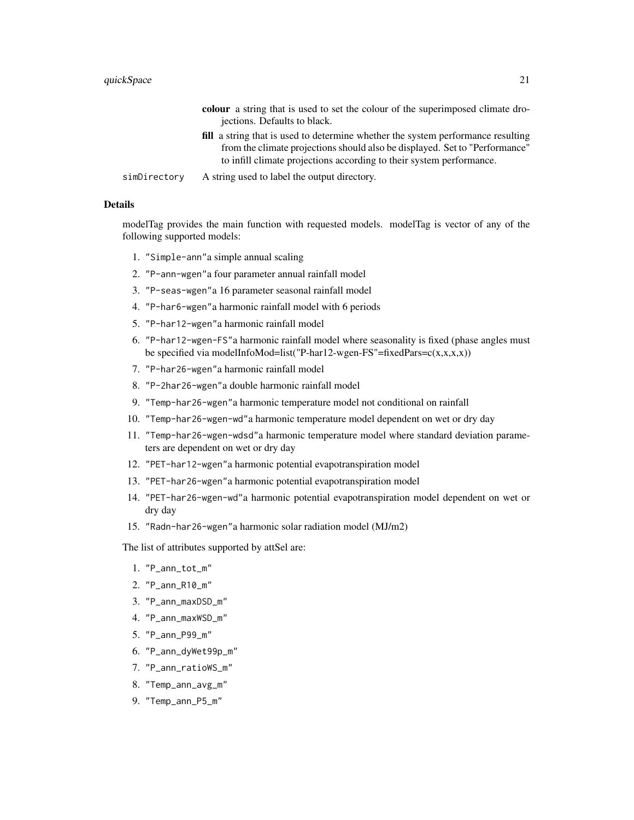|              | <b>colour</b> a string that is used to set the colour of the superimposed climate dro-  |
|--------------|-----------------------------------------------------------------------------------------|
|              | jections. Defaults to black.                                                            |
|              | <b>fill</b> a string that is used to determine whether the system performance resulting |
|              | from the climate projections should also be displayed. Set to "Performance"             |
|              | to infill climate projections according to their system performance.                    |
| simDirectory | A string used to label the output directory.                                            |

#### Details

modelTag provides the main function with requested models. modelTag is vector of any of the following supported models:

- 1. "Simple-ann"a simple annual scaling
- 2. "P-ann-wgen"a four parameter annual rainfall model
- 3. "P-seas-wgen"a 16 parameter seasonal rainfall model
- 4. "P-har6-wgen"a harmonic rainfall model with 6 periods
- 5. "P-har12-wgen"a harmonic rainfall model
- 6. "P-har12-wgen-FS"a harmonic rainfall model where seasonality is fixed (phase angles must be specified via modelInfoMod=list("P-har12-wgen-FS"=fixedPars= $c(x,x,x,x)$ )
- 7. "P-har26-wgen"a harmonic rainfall model
- 8. "P-2har26-wgen"a double harmonic rainfall model
- 9. "Temp-har26-wgen"a harmonic temperature model not conditional on rainfall
- 10. "Temp-har26-wgen-wd"a harmonic temperature model dependent on wet or dry day
- 11. "Temp-har26-wgen-wdsd"a harmonic temperature model where standard deviation parameters are dependent on wet or dry day
- 12. "PET-har12-wgen"a harmonic potential evapotranspiration model
- 13. "PET-har26-wgen"a harmonic potential evapotranspiration model
- 14. "PET-har26-wgen-wd"a harmonic potential evapotranspiration model dependent on wet or dry day
- 15. "Radn-har26-wgen"a harmonic solar radiation model (MJ/m2)

The list of attributes supported by attSel are:

- 1. "P\_ann\_tot\_m"
- 2. "P\_ann\_R10\_m"
- 3. "P\_ann\_maxDSD\_m"
- 4. "P\_ann\_maxWSD\_m"
- 5. "P\_ann\_P99\_m"
- 6. "P\_ann\_dyWet99p\_m"
- 7. "P\_ann\_ratioWS\_m"
- 8. "Temp\_ann\_avg\_m"
- 9. "Temp\_ann\_P5\_m"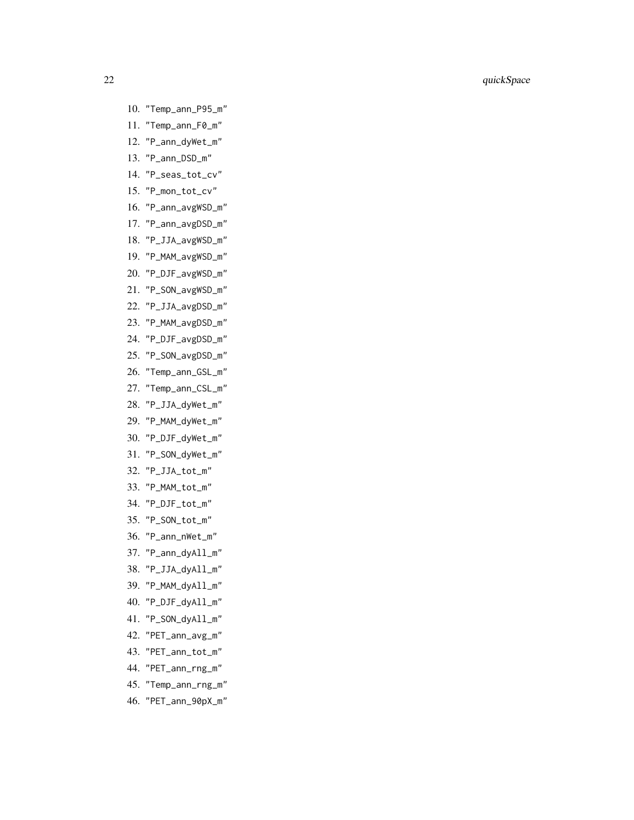- 10. "Temp\_ann\_P95\_m"
- 11. "Temp\_ann\_F0\_m"
- 12. "P\_ann\_dyWet\_m"
- 13. "P\_ann\_DSD\_m"
- 14. "P\_seas\_tot\_cv"
- 15. "P\_mon\_tot\_cv"
- 16. "P\_ann\_avgWSD\_m"
- 17. "P\_ann\_avgDSD\_m"
- 18. "P\_JJA\_avgWSD\_m"
- 19. "P\_MAM\_avgWSD\_m"
- 20. "P\_DJF\_avgWSD\_m"
- 21. "P\_SON\_avgWSD\_m"
- 22. "P\_JJA\_avgDSD\_m"
- 23. "P\_MAM\_avgDSD\_m"
- 24. "P\_DJF\_avgDSD\_m"
- 25. "P\_SON\_avgDSD\_m"
- 26. "Temp\_ann\_GSL\_m"
- 27. "Temp\_ann\_CSL\_m"
- 28. "P\_JJA\_dyWet\_m"
- 29. "P\_MAM\_dyWet\_m"
- 30. "P\_DJF\_dyWet\_m"
- 31. "P\_SON\_dyWet\_m"
- 32. "P\_JJA\_tot\_m"
- 33. "P\_MAM\_tot\_m"
- 34. "P\_DJF\_tot\_m"
- 35. "P\_SON\_tot\_m"
- 36. "P\_ann\_nWet\_m"
- 37. "P\_ann\_dyAll\_m"
- 38. "P\_JJA\_dyAll\_m"
- 39. "P\_MAM\_dyAll\_m"
- 40. "P\_DJF\_dyAll\_m"
- 41. "P\_SON\_dyAll\_m"
- 42. "PET\_ann\_avg\_m"
- 43. "PET\_ann\_tot\_m"
- 44. "PET\_ann\_rng\_m"
- 45. "Temp\_ann\_rng\_m"
- 46. "PET\_ann\_90pX\_m"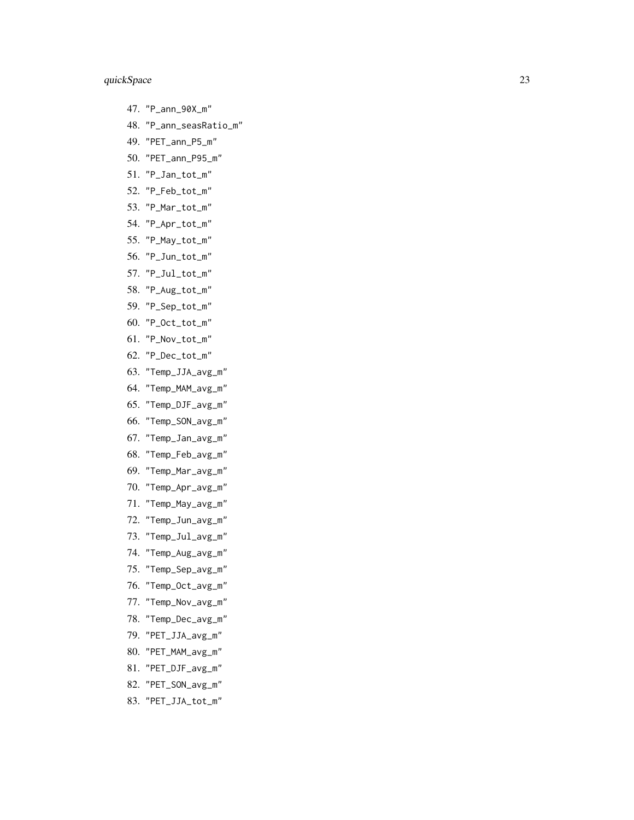- 47. "P\_ann\_90X\_m"
- 48. "P\_ann\_seasRatio\_m"
- 49. "PET\_ann\_P5\_m"
- 50. "PET\_ann\_P95\_m"
- 51. "P\_Jan\_tot\_m"
- 52. "P\_Feb\_tot\_m"
- 53. "P\_Mar\_tot\_m"
- 54. "P\_Apr\_tot\_m"
- 55. "P\_May\_tot\_m"
- 56. "P\_Jun\_tot\_m"
- 57. "P\_Jul\_tot\_m"
- 58. "P\_Aug\_tot\_m"
- 59. "P\_Sep\_tot\_m"
- 60. "P\_Oct\_tot\_m"
- 61. "P\_Nov\_tot\_m"
- 62. "P\_Dec\_tot\_m"
- 63. "Temp\_JJA\_avg\_m"
- 64. "Temp\_MAM\_avg\_m"
- 65. "Temp\_DJF\_avg\_m"
- 66. "Temp\_SON\_avg\_m"
- 67. "Temp\_Jan\_avg\_m"
- 68. "Temp\_Feb\_avg\_m"
- 69. "Temp\_Mar\_avg\_m"
- 70. "Temp\_Apr\_avg\_m"
- 71. "Temp\_May\_avg\_m"
- 72. "Temp\_Jun\_avg\_m"
- 73. "Temp\_Jul\_avg\_m"
- 74. "Temp\_Aug\_avg\_m"
- 75. "Temp\_Sep\_avg\_m"
- 76. "Temp\_Oct\_avg\_m"
- 77. "Temp\_Nov\_avg\_m"
- 78. "Temp\_Dec\_avg\_m"
- 79. "PET\_JJA\_avg\_m"
- 80. "PET\_MAM\_avg\_m"
- 81. "PET\_DJF\_avg\_m"
- 82. "PET\_SON\_avg\_m"
- 83. "PET\_JJA\_tot\_m"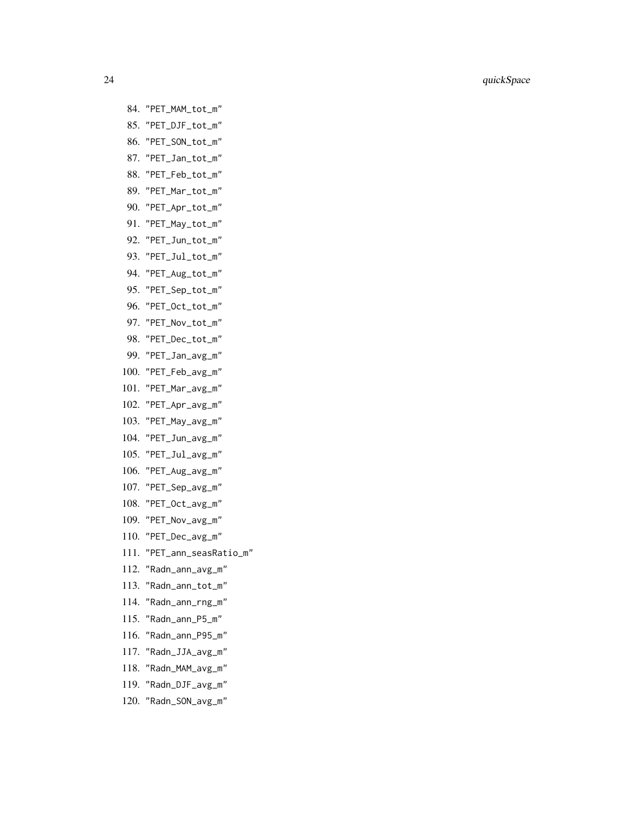- 84. "PET\_MAM\_tot\_m" 85. "PET\_DJF\_tot\_m" 86. "PET\_SON\_tot\_m" 87. "PET\_Jan\_tot\_m" 88. "PET\_Feb\_tot\_m" 89. "PET\_Mar\_tot\_m" 90. "PET\_Apr\_tot\_m" 91. "PET\_May\_tot\_m" 92. "PET\_Jun\_tot\_m" 93. "PET\_Jul\_tot\_m" 94. "PET\_Aug\_tot\_m" 95. "PET\_Sep\_tot\_m" 96. "PET\_Oct\_tot\_m" 97. "PET\_Nov\_tot\_m" 98. "PET\_Dec\_tot\_m" 99. "PET\_Jan\_avg\_m" 100. "PET\_Feb\_avg\_m" 101. "PET\_Mar\_avg\_m" 102. "PET\_Apr\_avg\_m" 103. "PET\_May\_avg\_m" 104. "PET\_Jun\_avg\_m" 105. "PET\_Jul\_avg\_m" 106. "PET\_Aug\_avg\_m" 107. "PET\_Sep\_avg\_m" 108. "PET\_Oct\_avg\_m" 109. "PET\_Nov\_avg\_m" 110. "PET\_Dec\_avg\_m" 111. "PET\_ann\_seasRatio\_m" 112. "Radn\_ann\_avg\_m" 113. "Radn\_ann\_tot\_m" 114. "Radn\_ann\_rng\_m" 115. "Radn\_ann\_P5\_m"
- 116. "Radn\_ann\_P95\_m"
- 117. "Radn\_JJA\_avg\_m"
- 118. "Radn\_MAM\_avg\_m"
- 119. "Radn\_DJF\_avg\_m"
- 120. "Radn\_SON\_avg\_m"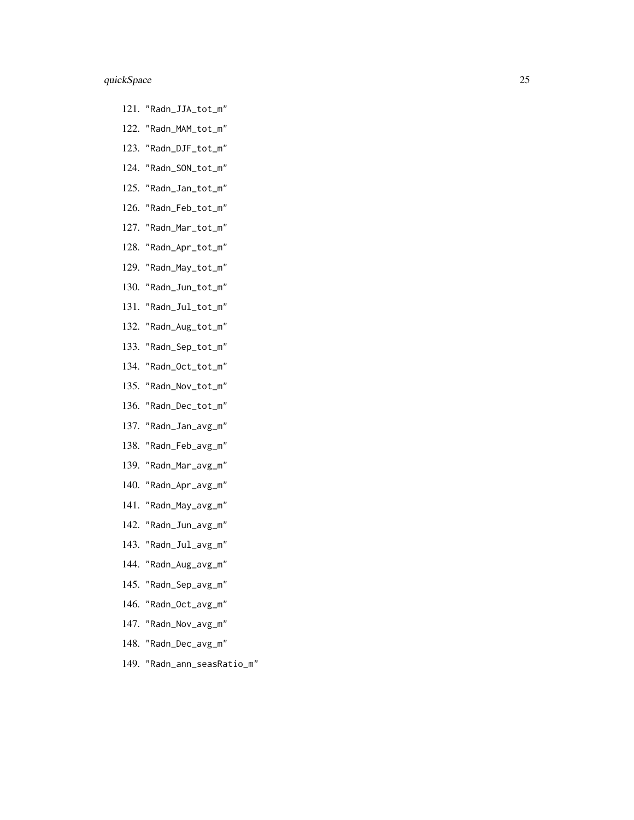- 121. "Radn\_JJA\_tot\_m"
- 122. "Radn\_MAM\_tot\_m"
- 123. "Radn\_DJF\_tot\_m"
- 124. "Radn\_SON\_tot\_m"
- 125. "Radn\_Jan\_tot\_m"
- 126. "Radn\_Feb\_tot\_m"
- 127. "Radn\_Mar\_tot\_m"
- 128. "Radn\_Apr\_tot\_m"
- 129. "Radn\_May\_tot\_m"
- 130. "Radn\_Jun\_tot\_m"
- 131. "Radn\_Jul\_tot\_m"
- 132. "Radn\_Aug\_tot\_m"
- 133. "Radn\_Sep\_tot\_m"
- 134. "Radn\_Oct\_tot\_m"
- 135. "Radn\_Nov\_tot\_m"
- 136. "Radn\_Dec\_tot\_m"
- 137. "Radn\_Jan\_avg\_m"
- 138. "Radn\_Feb\_avg\_m"
- 139. "Radn\_Mar\_avg\_m"
- 140. "Radn\_Apr\_avg\_m"
- 141. "Radn\_May\_avg\_m"
- 142. "Radn\_Jun\_avg\_m"
- 143. "Radn\_Jul\_avg\_m"
- 144. "Radn\_Aug\_avg\_m"
- 145. "Radn\_Sep\_avg\_m"
- 146. "Radn\_Oct\_avg\_m"
- 147. "Radn\_Nov\_avg\_m"
- 148. "Radn\_Dec\_avg\_m"
- 149. "Radn\_ann\_seasRatio\_m"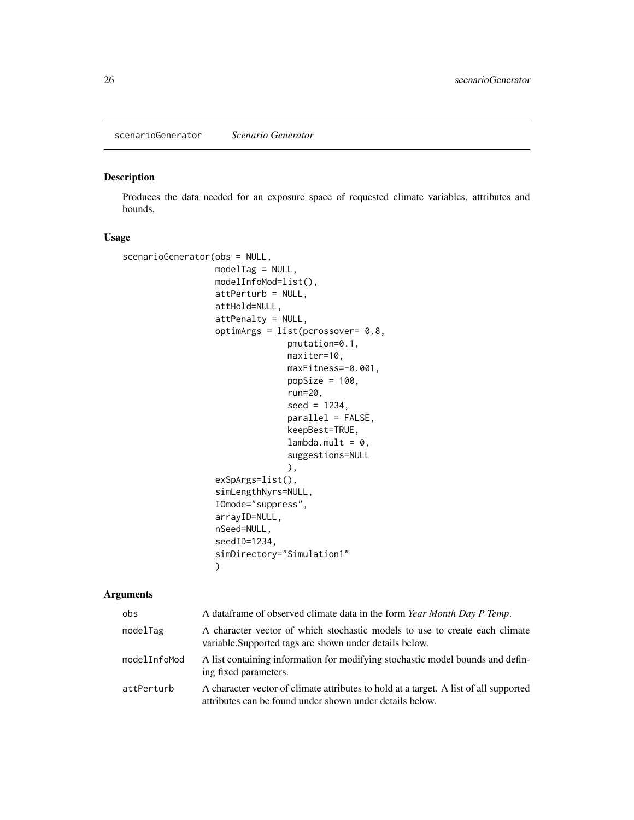<span id="page-25-1"></span><span id="page-25-0"></span>scenarioGenerator *Scenario Generator*

#### Description

Produces the data needed for an exposure space of requested climate variables, attributes and bounds.

#### Usage

```
scenarioGenerator(obs = NULL,
                  modelTag = NULL,
                  modelInfoMod=list(),
                  attPerturb = NULL,
                  attHold=NULL,
                  attPenalty = NULL,
                  optimArgs = list(pcrossover= 0.8,
                                 pmutation=0.1,
                                 maxiter=10,
                                 maxFitness=-0.001,
                                 popSize = 100,
                                 run=20,
                                 seed = 1234,
                                 parallel = FALSE,
                                 keepBest=TRUE,
                                 lambda.mult = 0,suggestions=NULL
                                 ),
                  exSpArgs=list(),
                  simLengthNyrs=NULL,
                  IOmode="suppress",
                  arrayID=NULL,
                  nSeed=NULL,
                  seedID=1234,
                  simDirectory="Simulation1"
                  )
```
#### Arguments

| obs          | A data frame of observed climate data in the form Year Month Day P Temp.                                                                          |
|--------------|---------------------------------------------------------------------------------------------------------------------------------------------------|
| modelTag     | A character vector of which stochastic models to use to create each climate<br>variable. Supported tags are shown under details below.            |
| modelInfoMod | A list containing information for modifying stochastic model bounds and defin-<br>ing fixed parameters.                                           |
| attPerturb   | A character vector of climate attributes to hold at a target. A list of all supported<br>attributes can be found under shown under details below. |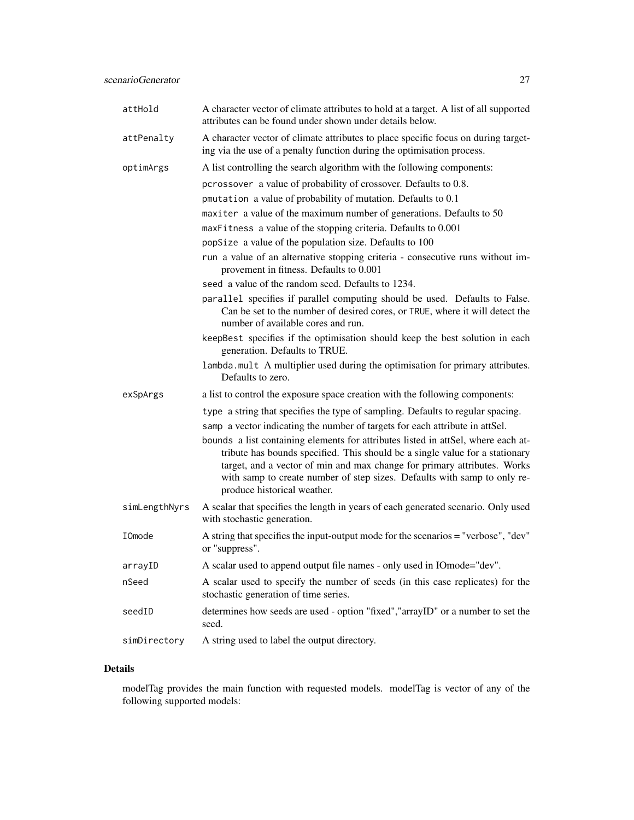| attHold       | A character vector of climate attributes to hold at a target. A list of all supported<br>attributes can be found under shown under details below.                                                                                                                                                                                                        |
|---------------|----------------------------------------------------------------------------------------------------------------------------------------------------------------------------------------------------------------------------------------------------------------------------------------------------------------------------------------------------------|
| attPenalty    | A character vector of climate attributes to place specific focus on during target-<br>ing via the use of a penalty function during the optimisation process.                                                                                                                                                                                             |
| optimArgs     | A list controlling the search algorithm with the following components:                                                                                                                                                                                                                                                                                   |
|               | pcrossover a value of probability of crossover. Defaults to 0.8.                                                                                                                                                                                                                                                                                         |
|               | pmutation a value of probability of mutation. Defaults to 0.1                                                                                                                                                                                                                                                                                            |
|               | maxiter a value of the maximum number of generations. Defaults to 50                                                                                                                                                                                                                                                                                     |
|               | maxFitness a value of the stopping criteria. Defaults to 0.001                                                                                                                                                                                                                                                                                           |
|               | popSize a value of the population size. Defaults to 100                                                                                                                                                                                                                                                                                                  |
|               | run a value of an alternative stopping criteria - consecutive runs without im-<br>provement in fitness. Defaults to 0.001                                                                                                                                                                                                                                |
|               | seed a value of the random seed. Defaults to 1234.                                                                                                                                                                                                                                                                                                       |
|               | parallel specifies if parallel computing should be used. Defaults to False.<br>Can be set to the number of desired cores, or TRUE, where it will detect the<br>number of available cores and run.                                                                                                                                                        |
|               | keepBest specifies if the optimisation should keep the best solution in each<br>generation. Defaults to TRUE.                                                                                                                                                                                                                                            |
|               | lambda.mult A multiplier used during the optimisation for primary attributes.<br>Defaults to zero.                                                                                                                                                                                                                                                       |
| exSpArgs      | a list to control the exposure space creation with the following components:                                                                                                                                                                                                                                                                             |
|               | type a string that specifies the type of sampling. Defaults to regular spacing.                                                                                                                                                                                                                                                                          |
|               | samp a vector indicating the number of targets for each attribute in attSel.                                                                                                                                                                                                                                                                             |
|               | bounds a list containing elements for attributes listed in attSel, where each at-<br>tribute has bounds specified. This should be a single value for a stationary<br>target, and a vector of min and max change for primary attributes. Works<br>with samp to create number of step sizes. Defaults with samp to only re-<br>produce historical weather. |
| simLengthNyrs | A scalar that specifies the length in years of each generated scenario. Only used<br>with stochastic generation.                                                                                                                                                                                                                                         |
| IOmode        | A string that specifies the input-output mode for the scenarios = "verbose", "dev"<br>or "suppress".                                                                                                                                                                                                                                                     |
| arrayID       | A scalar used to append output file names - only used in IOmode="dev".                                                                                                                                                                                                                                                                                   |
| nSeed         | A scalar used to specify the number of seeds (in this case replicates) for the<br>stochastic generation of time series.                                                                                                                                                                                                                                  |
| seedID        | determines how seeds are used - option "fixed", "arrayID" or a number to set the<br>seed.                                                                                                                                                                                                                                                                |
| simDirectory  | A string used to label the output directory.                                                                                                                                                                                                                                                                                                             |

#### Details

modelTag provides the main function with requested models. modelTag is vector of any of the following supported models: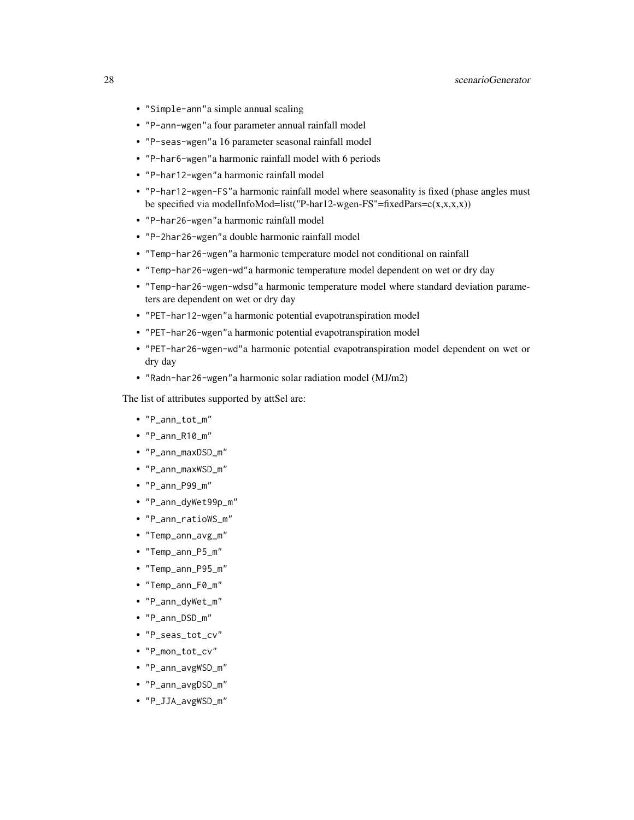- "Simple-ann"a simple annual scaling
- "P-ann-wgen"a four parameter annual rainfall model
- "P-seas-wgen"a 16 parameter seasonal rainfall model
- "P-har6-wgen"a harmonic rainfall model with 6 periods
- "P-har12-wgen"a harmonic rainfall model
- "P-har12-wgen-FS"a harmonic rainfall model where seasonality is fixed (phase angles must be specified via modelInfoMod=list("P-har12-wgen-FS"=fixedPars= $c(x,x,x,x)$ )
- "P-har26-wgen"a harmonic rainfall model
- "P-2har26-wgen"a double harmonic rainfall model
- "Temp-har26-wgen"a harmonic temperature model not conditional on rainfall
- "Temp-har26-wgen-wd"a harmonic temperature model dependent on wet or dry day
- "Temp-har26-wgen-wdsd"a harmonic temperature model where standard deviation parameters are dependent on wet or dry day
- "PET-har12-wgen"a harmonic potential evapotranspiration model
- "PET-har26-wgen"a harmonic potential evapotranspiration model
- "PET-har26-wgen-wd"a harmonic potential evapotranspiration model dependent on wet or dry day
- "Radn-har26-wgen"a harmonic solar radiation model (MJ/m2)

The list of attributes supported by attSel are:

- "P\_ann\_tot\_m"
- "P\_ann\_R10\_m"
- "P\_ann\_maxDSD\_m"
- "P\_ann\_maxWSD\_m"
- "P\_ann\_P99\_m"
- "P\_ann\_dyWet99p\_m"
- "P\_ann\_ratioWS\_m"
- "Temp\_ann\_avg\_m"
- "Temp\_ann\_P5\_m"
- "Temp\_ann\_P95\_m"
- "Temp\_ann\_F0\_m"
- "P\_ann\_dyWet\_m"
- "P\_ann\_DSD\_m"
- "P\_seas\_tot\_cv"
- "P\_mon\_tot\_cv"
- "P\_ann\_avgWSD\_m"
- "P\_ann\_avgDSD\_m"
- "P\_JJA\_avgWSD\_m"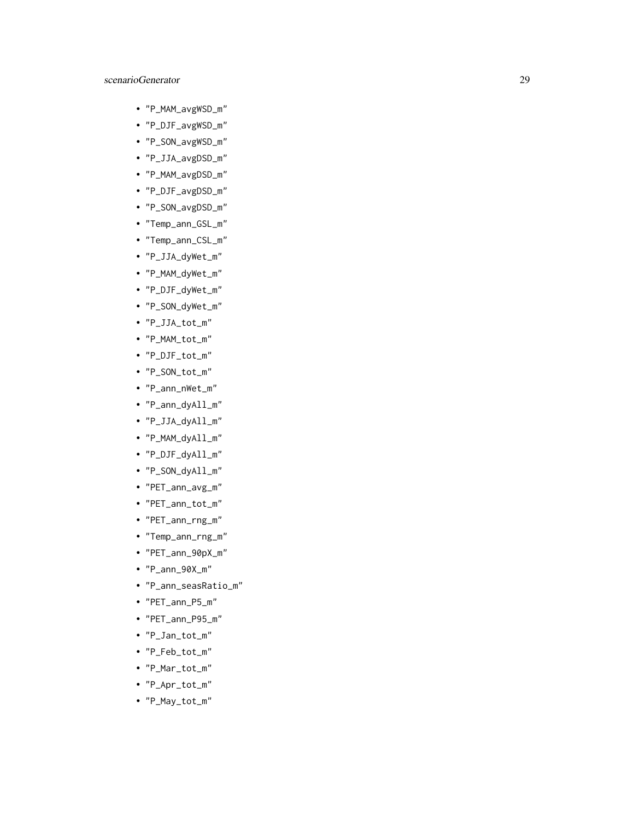#### scenarioGenerator 29

- "P\_MAM\_avgWSD\_m"
- "P\_DJF\_avgWSD\_m"
- "P\_SON\_avgWSD\_m"
- "P\_JJA\_avgDSD\_m"
- "P\_MAM\_avgDSD\_m"
- "P\_DJF\_avgDSD\_m"
- "P\_SON\_avgDSD\_m"
- "Temp\_ann\_GSL\_m"
- "Temp\_ann\_CSL\_m"
- "P\_JJA\_dyWet\_m"
- "P\_MAM\_dyWet\_m"
- "P\_DJF\_dyWet\_m"
- "P\_SON\_dyWet\_m"
- "P\_JJA\_tot\_m"
- "P\_MAM\_tot\_m"
- "P\_DJF\_tot\_m"
- "P\_SON\_tot\_m"
- "P\_ann\_nWet\_m"
- "P\_ann\_dyAll\_m"
- "P\_JJA\_dyAll\_m"
- "P\_MAM\_dyAll\_m"
- "P\_DJF\_dyAll\_m"
- "P\_SON\_dyAll\_m"
- "PET\_ann\_avg\_m"
- "PET\_ann\_tot\_m"
- "PET\_ann\_rng\_m"
- "Temp\_ann\_rng\_m"
- "PET\_ann\_90pX\_m"
- "P\_ann\_90X\_m"
- "P\_ann\_seasRatio\_m"
- "PET\_ann\_P5\_m"
- "PET\_ann\_P95\_m"
- "P\_Jan\_tot\_m"
- "P\_Feb\_tot\_m"
- "P\_Mar\_tot\_m"
- "P\_Apr\_tot\_m"
- "P\_May\_tot\_m"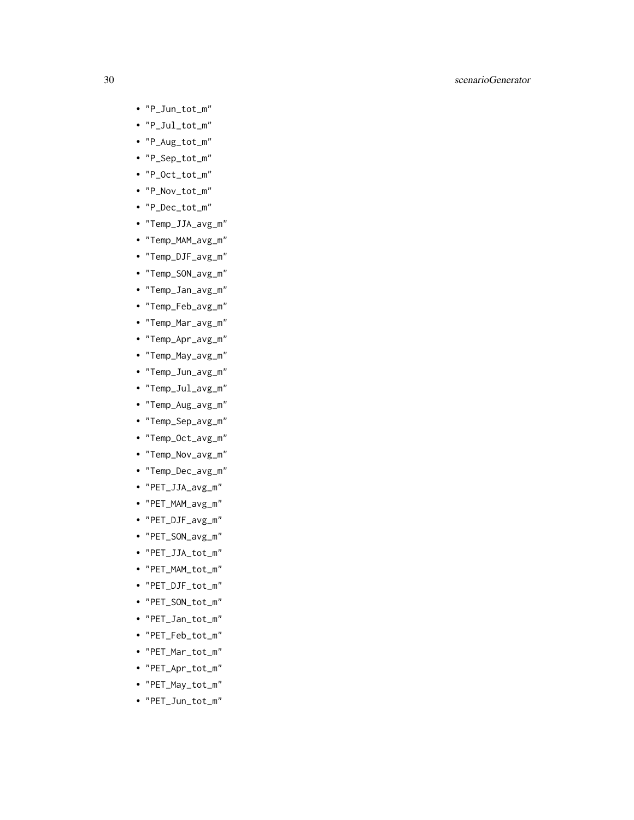#### 30 scenarioGenerator

- "P\_Jun\_tot\_m"
- "P\_Jul\_tot\_m"
- "P\_Aug\_tot\_m"
- "P\_Sep\_tot\_m"
- "P\_Oct\_tot\_m"
- "P\_Nov\_tot\_m"
- "P\_Dec\_tot\_m"
- "Temp\_JJA\_avg\_m"
- "Temp\_MAM\_avg\_m"
- "Temp\_DJF\_avg\_m"
- "Temp\_SON\_avg\_m"
- "Temp\_Jan\_avg\_m"
- "Temp\_Feb\_avg\_m"
- "Temp\_Mar\_avg\_m"
- "Temp\_Apr\_avg\_m"
- "Temp\_May\_avg\_m"
- "Temp\_Jun\_avg\_m"
- "Temp\_Jul\_avg\_m"
- "Temp\_Aug\_avg\_m"
- "Temp\_Sep\_avg\_m"
- "Temp\_Oct\_avg\_m"
- "Temp\_Nov\_avg\_m"
- "Temp\_Dec\_avg\_m"
- "PET\_JJA\_avg\_m"
- "PET\_MAM\_avg\_m"
- "PET\_DJF\_avg\_m"
- "PET\_SON\_avg\_m"
- "PET\_JJA\_tot\_m"
- "PET\_MAM\_tot\_m"
- "PET\_DJF\_tot\_m"
- "PET\_SON\_tot\_m"
- "PET\_Jan\_tot\_m"
- "PET\_Feb\_tot\_m"
- "PET\_Mar\_tot\_m"
- "PET\_Apr\_tot\_m"
- "PET\_May\_tot\_m"
- "PET\_Jun\_tot\_m"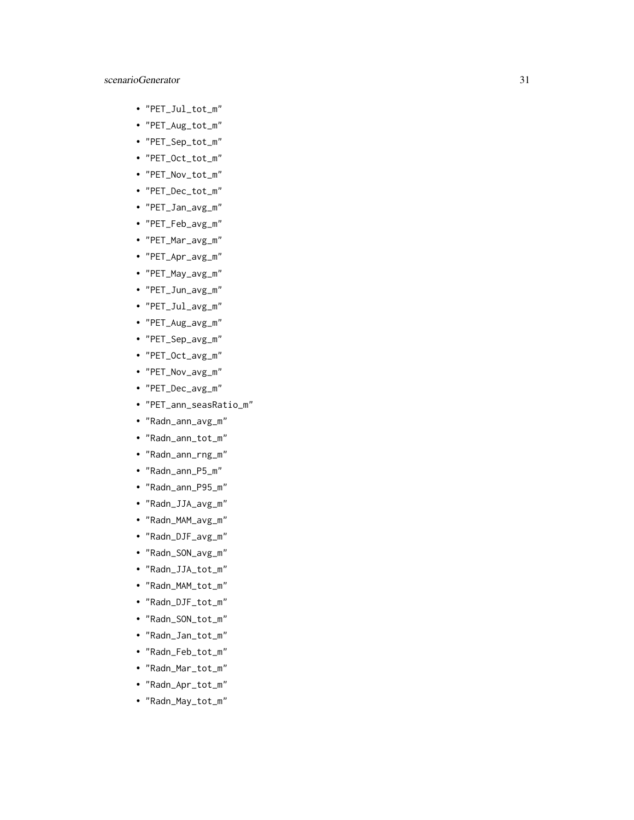- "PET\_Jul\_tot\_m"
- "PET\_Aug\_tot\_m"
- "PET\_Sep\_tot\_m"
- "PET\_Oct\_tot\_m"
- "PET\_Nov\_tot\_m"
- "PET\_Dec\_tot\_m"
- "PET\_Jan\_avg\_m"
- "PET\_Feb\_avg\_m"
- "PET\_Mar\_avg\_m"
- "PET\_Apr\_avg\_m"
- "PET\_May\_avg\_m"
- "PET\_Jun\_avg\_m"
- "PET\_Jul\_avg\_m"
- "PET\_Aug\_avg\_m"
- "PET\_Sep\_avg\_m"
- "PET\_Oct\_avg\_m"
- "PET\_Nov\_avg\_m"
- "PET\_Dec\_avg\_m"
- "PET\_ann\_seasRatio\_m"
- "Radn\_ann\_avg\_m"
- "Radn\_ann\_tot\_m"
- "Radn\_ann\_rng\_m"
- "Radn\_ann\_P5\_m"
- "Radn\_ann\_P95\_m"
- "Radn\_JJA\_avg\_m"
- "Radn\_MAM\_avg\_m"
- "Radn\_DJF\_avg\_m"
- "Radn\_SON\_avg\_m"
- "Radn\_JJA\_tot\_m"
- "Radn\_MAM\_tot\_m"
- "Radn\_DJF\_tot\_m"
- "Radn\_SON\_tot\_m"
- "Radn\_Jan\_tot\_m"
- "Radn\_Feb\_tot\_m"
- "Radn\_Mar\_tot\_m"
- "Radn\_Apr\_tot\_m"
- "Radn\_May\_tot\_m"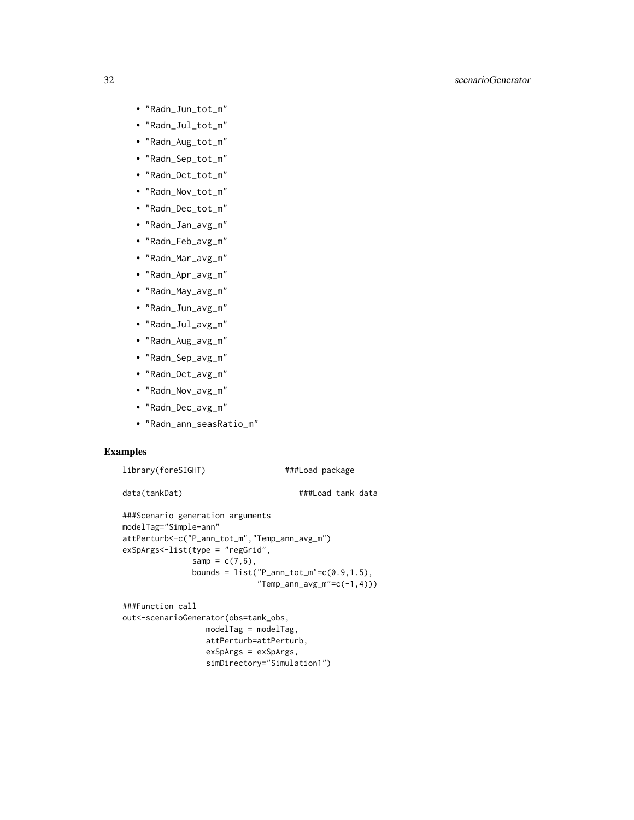#### 32 scenarioGenerator

- "Radn\_Jun\_tot\_m"
- "Radn\_Jul\_tot\_m"
- "Radn\_Aug\_tot\_m"
- "Radn\_Sep\_tot\_m"
- "Radn\_Oct\_tot\_m"
- "Radn\_Nov\_tot\_m"
- "Radn\_Dec\_tot\_m"
- "Radn\_Jan\_avg\_m"
- "Radn\_Feb\_avg\_m"
- "Radn\_Mar\_avg\_m"
- "Radn\_Apr\_avg\_m"
- "Radn\_May\_avg\_m"
- "Radn\_Jun\_avg\_m"
- "Radn\_Jul\_avg\_m"
- "Radn\_Aug\_avg\_m"
- "Radn\_Sep\_avg\_m"
- "Radn\_Oct\_avg\_m"
- "Radn\_Nov\_avg\_m"
- "Radn\_Dec\_avg\_m"
- "Radn\_ann\_seasRatio\_m"

#### Examples

```
library(foreSIGHT) ###Load package
```
data(tankDat)  $\#$ ##Load tank data

```
###Scenario generation arguments
modelTag="Simple-ann"
attPerturb<-c("P_ann_tot_m","Temp_ann_avg_m")
exSpArgs<-list(type = "regGrid",
                samp = c(7, 6),
                bounds = list("P_{ann\_tot_m" = c(0.9, 1.5)),
                                "Temp\_ann\_\,\_\,\_\,\_\,\_\,\_c(-1,4)))
```

```
###Function call
out<-scenarioGenerator(obs=tank_obs,
                 modelTag = modelTag,
                 attPerturb=attPerturb,
                 exSpArgs = exSpArgs,
                  simDirectory="Simulation1")
```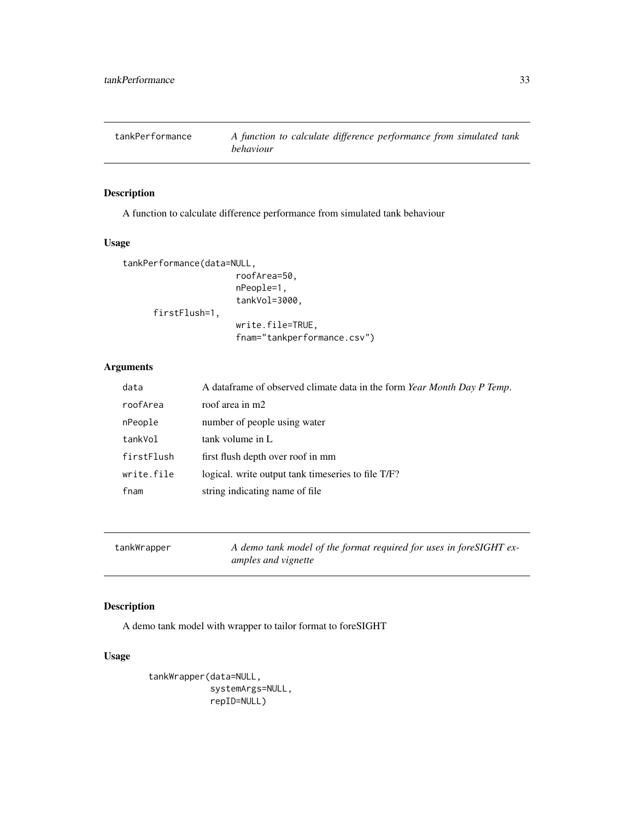<span id="page-32-0"></span>

#### Description

A function to calculate difference performance from simulated tank behaviour

#### Usage

```
tankPerformance(data=NULL,
                      roofArea=50,
                      nPeople=1,
                      tankVol=3000,
      firstFlush=1,
                      write.file=TRUE,
                      fnam="tankperformance.csv")
```
#### Arguments

| data       | A dataframe of observed climate data in the form Year Month Day P Temp. |
|------------|-------------------------------------------------------------------------|
| roofArea   | roof area in m2                                                         |
| nPeople    | number of people using water                                            |
| tankVol    | tank volume in L                                                        |
| firstFlush | first flush depth over roof in mm                                       |
| write.file | logical, write output tank timeseries to file T/F?                      |
| fnam       | string indicating name of file                                          |

```
tankWrapper A demo tank model of the format required for uses in foreSIGHT ex-
                       amples and vignette
```
#### Description

A demo tank model with wrapper to tailor format to foreSIGHT

#### Usage

```
tankWrapper(data=NULL,
            systemArgs=NULL,
            repID=NULL)
```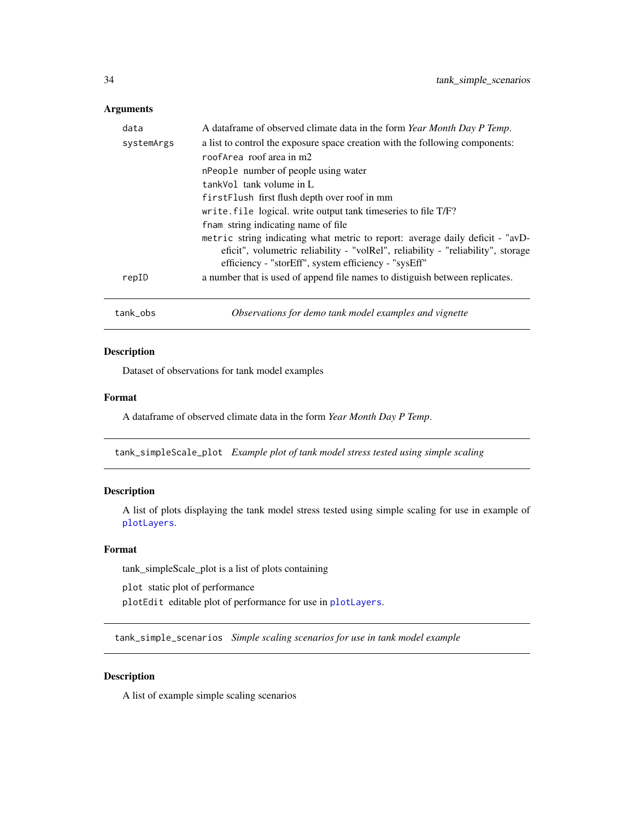#### <span id="page-33-0"></span>Arguments

| data                | A data frame of observed climate data in the form Year Month Day P Temp.                               |                                                                                                                                                                                                                           |  |
|---------------------|--------------------------------------------------------------------------------------------------------|---------------------------------------------------------------------------------------------------------------------------------------------------------------------------------------------------------------------------|--|
| systemArgs<br>repID | a list to control the exposure space creation with the following components:                           |                                                                                                                                                                                                                           |  |
|                     | roofArea roof area in m2                                                                               |                                                                                                                                                                                                                           |  |
|                     | nPeople number of people using water                                                                   |                                                                                                                                                                                                                           |  |
|                     | tankVol tank volume in L                                                                               |                                                                                                                                                                                                                           |  |
|                     | first Flush first flush depth over roof in mm                                                          |                                                                                                                                                                                                                           |  |
|                     | write. file logical. write output tank timeseries to file T/F?<br>from string indicating name of file. |                                                                                                                                                                                                                           |  |
|                     |                                                                                                        | metric string indicating what metric to report: average daily deficit - "avD-<br>eficit", volumetric reliability - "volRel", reliability - "reliability", storage<br>efficiency - "storEff", system efficiency - "sysEff" |  |
|                     | a number that is used of append file names to distiguish between replicates.                           |                                                                                                                                                                                                                           |  |
|                     | tank_obs                                                                                               | Observations for demo tank model examples and vignette                                                                                                                                                                    |  |

#### Description

Dataset of observations for tank model examples

#### Format

A dataframe of observed climate data in the form *Year Month Day P Temp*.

tank\_simpleScale\_plot *Example plot of tank model stress tested using simple scaling*

#### Description

A list of plots displaying the tank model stress tested using simple scaling for use in example of [plotLayers](#page-15-1).

#### Format

tank\_simpleScale\_plot is a list of plots containing

plot static plot of performance

plotEdit editable plot of performance for use in [plotLayers](#page-15-1).

tank\_simple\_scenarios *Simple scaling scenarios for use in tank model example*

#### Description

A list of example simple scaling scenarios